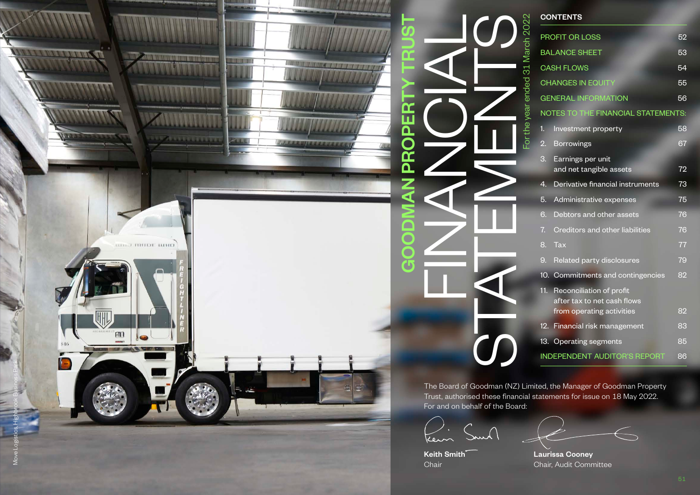

|                                      | <b>CONTENTS</b>                                                                             |    |
|--------------------------------------|---------------------------------------------------------------------------------------------|----|
| For the year ended $31$ March $2022$ | PROFIT OR LOSS                                                                              | 52 |
|                                      | <b>BALANCE SHEET</b>                                                                        | 53 |
|                                      | <b>CASH FLOWS</b>                                                                           | 54 |
|                                      | <b>CHANGES IN EQUITY</b>                                                                    | 55 |
|                                      | <b>GENERAL INFORMATION</b>                                                                  | 56 |
|                                      | NOTES TO THE FINANCIAL STATEMENTS:                                                          |    |
|                                      | 1.<br>Investment property                                                                   | 58 |
|                                      | 2.<br><b>Borrowings</b>                                                                     | 67 |
|                                      | 3.<br>Earnings per unit<br>and net tangible assets                                          | 72 |
|                                      | Derivative financial instruments<br>4.                                                      | 73 |
|                                      | 5.<br>Administrative expenses                                                               | 75 |
|                                      | 6.<br>Debtors and other assets                                                              | 76 |
|                                      | Creditors and other liabilities<br>7.                                                       | 76 |
|                                      | 8.<br><b>Tax</b>                                                                            | 77 |
|                                      | 9.<br>Related party disclosures                                                             | 79 |
|                                      | 10. Commitments and contingencies                                                           | 82 |
|                                      | 11.<br>Reconciliation of profit<br>after tax to net cash flows<br>from operating activities | 82 |
|                                      | 12. Financial risk management                                                               | 83 |
|                                      | 13. Operating segments                                                                      | 85 |
|                                      | <b>INDEPENDENT AUDITOR'S REPORT</b>                                                         | 86 |

The Board of Goodman (NZ) Limited, the Manager of Goodman Property Trust, authorised these financial statements for issue on 18 May 2022. For and on behalf of the Board:

Kein

Keith Smith **Communist Cooney** Chair Chair, Audit Committee

Move Logistics, Highbrook Business Park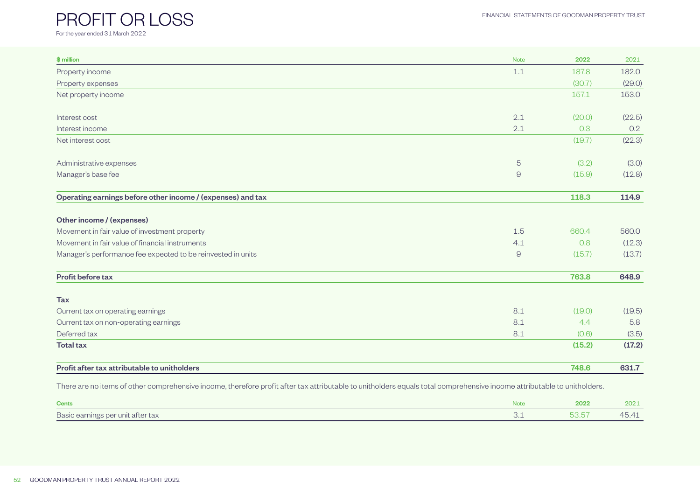#### FINANCIAL STATEMENTS OF GOODMAN PROPERTY TRUST

# <span id="page-1-0"></span>PROFIT OR LOSS

For the year ended 31 March 2022

| \$ million                                                   | <b>Note</b>    | 2022   | 2021   |
|--------------------------------------------------------------|----------------|--------|--------|
| Property income                                              | 1.1            | 187.8  | 182.0  |
| Property expenses                                            |                | (30.7) | (29.0) |
| Net property income                                          |                | 157.1  | 153.0  |
| Interest cost                                                | 2.1            | (20.0) | (22.5) |
| Interest income                                              | 2.1            | 0.3    | 0.2    |
| Net interest cost                                            |                | (19.7) | (22.3) |
| Administrative expenses                                      | $\overline{5}$ | (3.2)  | (3.0)  |
| Manager's base fee                                           | $\Theta$       | (15.9) | (12.8) |
| Operating earnings before other income / (expenses) and tax  |                | 118.3  | 114.9  |
| Other income / (expenses)                                    |                |        |        |
| Movement in fair value of investment property                | 1.5            | 660.4  | 560.0  |
| Movement in fair value of financial instruments              | 4.1            | 0.8    | (12.3) |
| Manager's performance fee expected to be reinvested in units | $\Theta$       | (15.7) | (13.7) |
| <b>Profit before tax</b>                                     |                | 763.8  | 648.9  |
| <b>Tax</b>                                                   |                |        |        |
| Current tax on operating earnings                            | 8.1            | (19.0) | (19.5) |
| Current tax on non-operating earnings                        | 8.1            | 4.4    | 5.8    |
| Deferred tax                                                 | 8.1            | (0.6)  | (3.5)  |
| <b>Total tax</b>                                             |                | (15.2) | (17.2) |
| Profit after tax attributable to unitholders                 |                | 748.6  | 631.7  |

There are no items of other comprehensive income, therefore profit after tax attributable to unitholders equals total comprehensive income attributable to unitholders.

| Cents                             | <b>Note</b> | 2022                                                                                                                                                                                                                                                                                                                                                                                                                                                                                     | 202:                      |
|-----------------------------------|-------------|------------------------------------------------------------------------------------------------------------------------------------------------------------------------------------------------------------------------------------------------------------------------------------------------------------------------------------------------------------------------------------------------------------------------------------------------------------------------------------------|---------------------------|
| Basic earnings per unit after tax | ◡.⊥         | $\overline{\phantom{a}}$ $\overline{\phantom{a}}$ $\overline{\phantom{a}}$ $\overline{\phantom{a}}$ $\overline{\phantom{a}}$ $\overline{\phantom{a}}$ $\overline{\phantom{a}}$ $\overline{\phantom{a}}$ $\overline{\phantom{a}}$ $\overline{\phantom{a}}$ $\overline{\phantom{a}}$ $\overline{\phantom{a}}$ $\overline{\phantom{a}}$ $\overline{\phantom{a}}$ $\overline{\phantom{a}}$ $\overline{\phantom{a}}$ $\overline{\phantom{a}}$ $\overline{\phantom{a}}$ $\overline{\$<br>73.OT | $\leftarrow$<br>一 一 一 一 一 |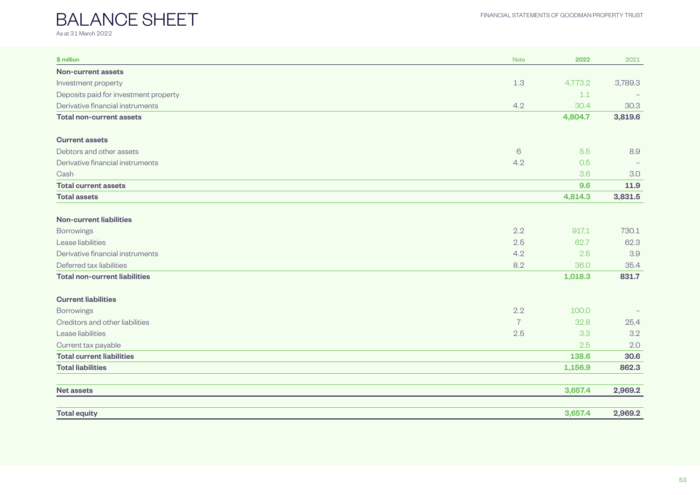## <span id="page-2-0"></span>BALANCE SHEET As at 31 March 2022

| \$ million                            | <b>Note</b>    | 2022    | 2021    |
|---------------------------------------|----------------|---------|---------|
| <b>Non-current assets</b>             |                |         |         |
| Investment property                   | 1.3            | 4,773.2 | 3,789.3 |
| Deposits paid for investment property |                | 1.1     |         |
| Derivative financial instruments      | 4.2            | 30.4    | 30.3    |
| <b>Total non-current assets</b>       |                | 4,804.7 | 3,819.6 |
| <b>Current assets</b>                 |                |         |         |
| Debtors and other assets              | 6              | 5.5     | 8.9     |
| Derivative financial instruments      | 4.2            | 0.5     |         |
| Cash                                  |                | 3.6     | 3.0     |
| <b>Total current assets</b>           |                | 9.6     | 11.9    |
| <b>Total assets</b>                   |                | 4,814.3 | 3,831.5 |
| <b>Non-current liabilities</b>        |                |         |         |
| <b>Borrowings</b>                     | 2.2            | 917.1   | 730.1   |
| Lease liabilities                     | 2.5            | 62.7    | 62.3    |
| Derivative financial instruments      | 4.2            | 2.5     | 3.9     |
| Deferred tax liabilities              | 8.2            | 36.0    | 35.4    |
| <b>Total non-current liabilities</b>  |                | 1,018.3 | 831.7   |
| <b>Current liabilities</b>            |                |         |         |
| <b>Borrowings</b>                     | 2.2            | 100.0   |         |
| Creditors and other liabilities       | $\overline{7}$ | 32.8    | 25.4    |
| Lease liabilities                     | 2.5            | 3.3     | 3.2     |
| Current tax payable                   |                | 2.5     | 2.0     |
| <b>Total current liabilities</b>      |                | 138.6   | 30.6    |
| <b>Total liabilities</b>              |                | 1,156.9 | 862.3   |
| <b>Net assets</b>                     |                | 3,657.4 | 2,969.2 |
| <b>Total equity</b>                   |                | 3,657.4 | 2,969.2 |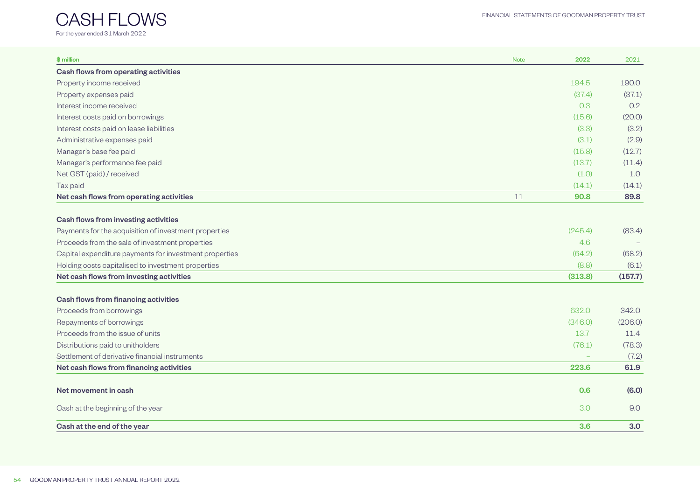<span id="page-3-0"></span>![](_page_3_Picture_1.jpeg)

| \$ million                                                                                     | <b>Note</b> | 2022    | 2021             |
|------------------------------------------------------------------------------------------------|-------------|---------|------------------|
| Cash flows from operating activities                                                           |             |         |                  |
| Property income received                                                                       |             | 194.5   | 190.0            |
| Property expenses paid                                                                         |             | (37.4)  | (37.1)           |
| Interest income received                                                                       |             | 0.3     | 0.2              |
| Interest costs paid on borrowings                                                              |             | (15.6)  | (20.0)           |
| Interest costs paid on lease liabilities                                                       |             | (3.3)   | (3.2)            |
| Administrative expenses paid                                                                   |             | (3.1)   | (2.9)            |
| Manager's base fee paid                                                                        |             | (15.8)  | (12.7)           |
| Manager's performance fee paid                                                                 |             | (13.7)  | (11.4)           |
| Net GST (paid) / received                                                                      |             | (1.0)   | 1.0              |
| Tax paid                                                                                       |             | (14.1)  | (14.1)           |
| Net cash flows from operating activities                                                       | 11          | 90.8    | 89.8             |
| <b>Cash flows from investing activities</b>                                                    |             |         |                  |
| Payments for the acquisition of investment properties                                          |             | (245.4) | (83.4)           |
| Proceeds from the sale of investment properties                                                |             | 4.6     |                  |
| Capital expenditure payments for investment properties                                         |             | (64.2)  | (68.2)           |
|                                                                                                |             | (8.8)   |                  |
| Holding costs capitalised to investment properties<br>Net cash flows from investing activities |             | (313.8) | (6.1)<br>(157.7) |
|                                                                                                |             |         |                  |
| <b>Cash flows from financing activities</b>                                                    |             |         |                  |
| Proceeds from borrowings                                                                       |             | 632.0   | 342.0            |
| Repayments of borrowings                                                                       |             | (346.0) | (206.0)          |
| Proceeds from the issue of units                                                               |             | 13.7    | 11.4             |
| Distributions paid to unitholders                                                              |             | (76.1)  | (78.3)           |
| Settlement of derivative financial instruments                                                 |             |         | (7.2)            |
| Net cash flows from financing activities                                                       |             | 223.6   | 61.9             |
| Net movement in cash                                                                           |             | 0.6     | (6.0)            |
| Cash at the beginning of the year                                                              |             | 3.0     | 9.0              |
| Cash at the end of the year                                                                    |             | 3.6     | 3.0 <sub>2</sub> |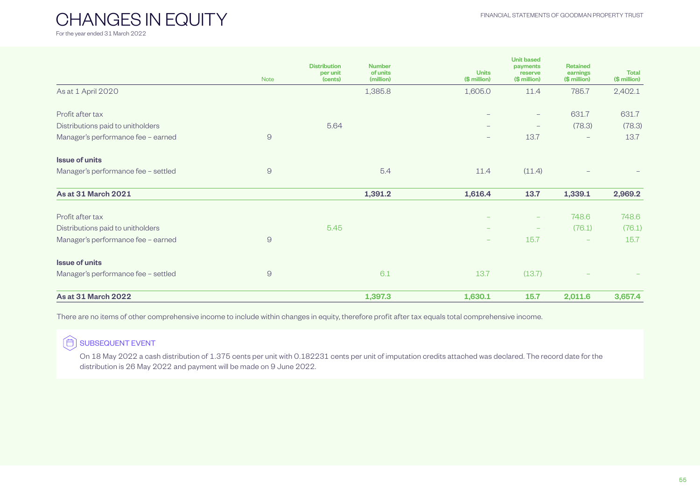<span id="page-4-0"></span>CHANGES IN EQUITY For the year ended 31 March 2022

|                                     | <b>Note</b>    | <b>Distribution</b><br>per unit<br>(cents) | <b>Number</b><br>of units<br>(million) | <b>Units</b><br>(\$ million) | <b>Unit based</b><br>payments<br>reserve<br>(\$ million) | <b>Retained</b><br>earnings<br>(\$ million) | <b>Total</b><br>(\$ million) |
|-------------------------------------|----------------|--------------------------------------------|----------------------------------------|------------------------------|----------------------------------------------------------|---------------------------------------------|------------------------------|
| As at 1 April 2020                  |                |                                            | 1,385.8                                | 1,605.0                      | 11.4                                                     | 785.7                                       | 2,402.1                      |
| Profit after tax                    |                |                                            |                                        |                              | $\qquad \qquad -$                                        | 631.7                                       | 631.7                        |
| Distributions paid to unitholders   |                | 5.64                                       |                                        | $\overline{\phantom{0}}$     | $\qquad \qquad -$                                        | (78.3)                                      | (78.3)                       |
| Manager's performance fee - earned  | $\Theta$       |                                            |                                        | $\qquad \qquad -$            | 13.7                                                     | $\overline{\phantom{m}}$                    | 13.7                         |
| <b>Issue of units</b>               |                |                                            |                                        |                              |                                                          |                                             |                              |
| Manager's performance fee - settled | $\overline{9}$ |                                            | 5.4                                    | 11.4                         | (11.4)                                                   |                                             |                              |
| As at 31 March 2021                 |                |                                            | 1,391.2                                | 1,616.4                      | 13.7                                                     | 1,339.1                                     | 2,969.2                      |
| Profit after tax                    |                |                                            |                                        |                              | $\overline{\phantom{0}}$                                 | 748.6                                       | 748.6                        |
| Distributions paid to unitholders   |                | 5.45                                       |                                        |                              | $\qquad \qquad -$                                        | (76.1)                                      | (76.1)                       |
| Manager's performance fee - earned  | $\Theta$       |                                            |                                        |                              | 15.7                                                     | $\qquad \qquad -$                           | 15.7                         |
| <b>Issue of units</b>               |                |                                            |                                        |                              |                                                          |                                             |                              |
| Manager's performance fee - settled | $\Theta$       |                                            | 6.1                                    | 13.7                         | (13.7)                                                   |                                             |                              |
| As at 31 March 2022                 |                |                                            | 1,397.3                                | 1,630.1                      | 15.7                                                     | 2,011.6                                     | 3,657.4                      |

There are no items of other comprehensive income to include within changes in equity, therefore profit after tax equals total comprehensive income.

#### 曲 SUBSEQUENT EVENT

On 18 May 2022 a cash distribution of 1.375 cents per unit with 0.182231 cents per unit of imputation credits attached was declared. The record date for the distribution is 26 May 2022 and payment will be made on 9 June 2022.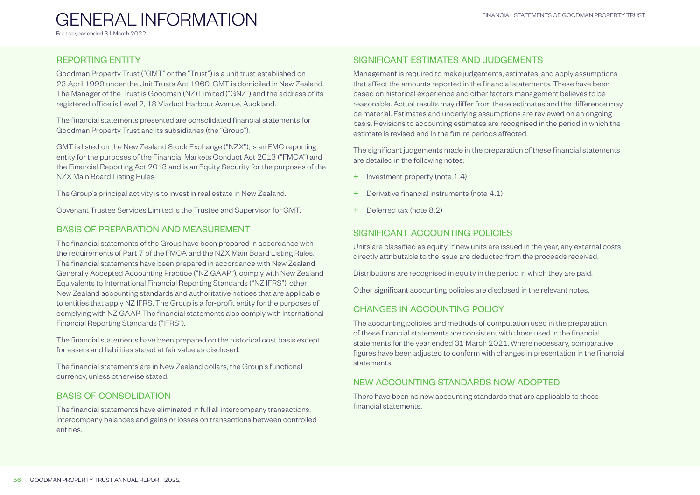## <span id="page-5-0"></span>GENERAL INFORMATION

For the year ended 31 March 2022

## REPORTING ENTITY

Goodman Property Trust ("GMT" or the "Trust") is a unit trust established on 23 April 1999 under the Unit Trusts Act 1960. GMT is domiciled in New Zealand. The Manager of the Trust is Goodman (NZ) Limited ("GNZ") and the address of its registered office is Level 2, 18 Viaduct Harbour Avenue, Auckland.

The financial statements presented are consolidated financial statements for Goodman Property Trust and its subsidiaries (the "Group").

GMT is listed on the New Zealand Stock Exchange ("NZX"), is an FMC reporting entity for the purposes of the Financial Markets Conduct Act 2013 ("FMCA") and the Financial Reporting Act 2013 and is an Equity Security for the purposes of the NZX Main Board Listing Rules.

The Group's principal activity is to invest in real estate in New Zealand.

Covenant Trustee Services Limited is the Trustee and Supervisor for GMT.

## BASIS OF PREPARATION AND MEASUREMENT

The financial statements of the Group have been prepared in accordance with the requirements of Part 7 of the FMCA and the NZX Main Board Listing Rules. The financial statements have been prepared in accordance with New Zealand Generally Accepted Accounting Practice ("NZ GAAP"), comply with New Zealand Equivalents to International Financial Reporting Standards ("NZ IFRS"), other New Zealand accounting standards and authoritative notices that are applicable to entities that apply NZ IFRS. The Group is a for-profit entity for the purposes of complying with NZ GAAP. The financial statements also comply with International Financial Reporting Standards ("IFRS").

The financial statements have been prepared on the historical cost basis except for assets and liabilities stated at fair value as disclosed.

The financial statements are in New Zealand dollars, the Group's functional currency, unless otherwise stated.

## BASIS OF CONSOLIDATION

The financial statements have eliminated in full all intercompany transactions, intercompany balances and gains or losses on transactions between controlled entities.

## SIGNIFICANT ESTIMATES AND JUDGEMENTS

Management is required to make judgements, estimates, and apply assumptions that affect the amounts reported in the financial statements. These have been based on historical experience and other factors management believes to be reasonable. Actual results may differ from these estimates and the difference may be material. Estimates and underlying assumptions are reviewed on an ongoing basis. Revisions to accounting estimates are recognised in the period in which the estimate is revised and in the future periods affected.

The significant judgements made in the preparation of these financial statements are detailed in the following notes:

- + Investment property (note 1.4)
- Derivative financial instruments (note 4.1)
- + Deferred tax (note 8.2)

## SIGNIFICANT ACCOUNTING POLICIES

Units are classified as equity. If new units are issued in the year, any external costs directly attributable to the issue are deducted from the proceeds received.

Distributions are recognised in equity in the period in which they are paid.

Other significant accounting policies are disclosed in the relevant notes.

## CHANGES IN ACCOUNTING POLICY

The accounting policies and methods of computation used in the preparation of these financial statements are consistent with those used in the financial statements for the year ended 31 March 2021. Where necessary, comparative figures have been adjusted to conform with changes in presentation in the financial statements.

## NEW ACCOUNTING STANDARDS NOW ADOPTED

There have been no new accounting standards that are applicable to these financial statements.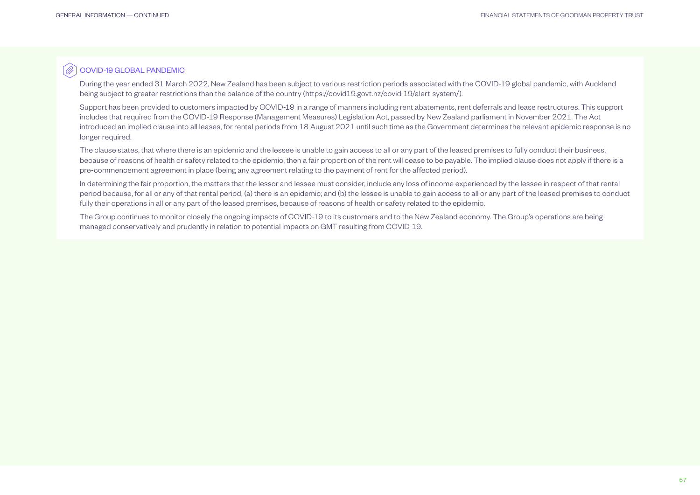Ò COVID-19 GLOBAL PANDEMIC

> During the year ended 31 March 2022, New Zealand has been subject to various restriction periods associated with the COVID-19 global pandemic, with Auckland being subject to greater restrictions than the balance of the country [\(https://covid19.govt.nz/covid-19/alert-system/](https://covid19.govt.nz/covid-19/alert-system/)).

Support has been provided to customers impacted by COVID-19 in a range of manners including rent abatements, rent deferrals and lease restructures. This support includes that required from the COVID-19 Response (Management Measures) Legislation Act, passed by New Zealand parliament in November 2021. The Act introduced an implied clause into all leases, for rental periods from 18 August 2021 until such time as the Government determines the relevant epidemic response is no longer required.

The clause states, that where there is an epidemic and the lessee is unable to gain access to all or any part of the leased premises to fully conduct their business, because of reasons of health or safety related to the epidemic, then a fair proportion of the rent will cease to be payable. The implied clause does not apply if there is a pre-commencement agreement in place (being any agreement relating to the payment of rent for the affected period).

In determining the fair proportion, the matters that the lessor and lessee must consider, include any loss of income experienced by the lessee in respect of that rental period because, for all or any of that rental period, (a) there is an epidemic; and (b) the lessee is unable to gain access to all or any part of the leased premises to conduct fully their operations in all or any part of the leased premises, because of reasons of health or safety related to the epidemic.

The Group continues to monitor closely the ongoing impacts of COVID-19 to its customers and to the New Zealand economy. The Group's operations are being managed conservatively and prudently in relation to potential impacts on GMT resulting from COVID-19.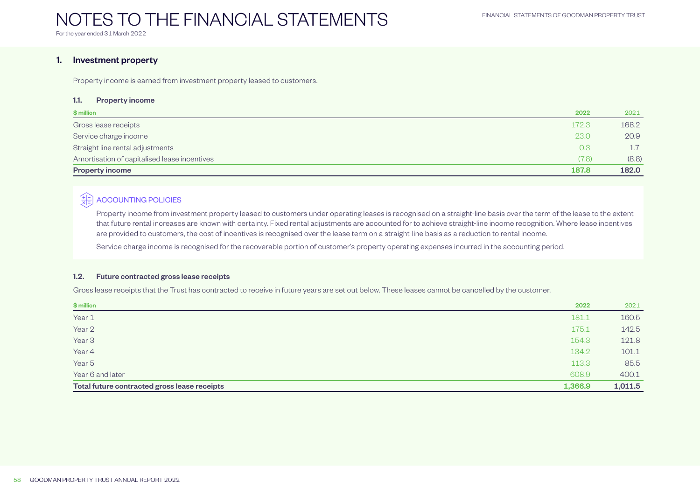## <span id="page-7-0"></span>NOTES TO THE FINANCIAL STATEMENTS

For the year ended 31 March 2022

## 1. Investment property

Property income is earned from investment property leased to customers.

#### 1.1. Property income

| \$ million                                   | 2022  | 2021  |
|----------------------------------------------|-------|-------|
| Gross lease receipts                         | 172.3 | 168.2 |
| Service charge income                        | 23.0  | 20.9  |
| Straight line rental adjustments             | 0.3   | 17    |
| Amortisation of capitalised lease incentives | (7.8) | (8.8) |
| <b>Property income</b>                       | 187.8 | 182.0 |

## $\left[\frac{+1}{\times 1} \right]$  ACCOUNTING POLICIES

Property income from investment property leased to customers under operating leases is recognised on a straight-line basis over the term of the lease to the extent that future rental increases are known with certainty. Fixed rental adjustments are accounted for to achieve straight-line income recognition. Where lease incentives are provided to customers, the cost of incentives is recognised over the lease term on a straight-line basis as a reduction to rental income.

Service charge income is recognised for the recoverable portion of customer's property operating expenses incurred in the accounting period.

#### 1.2. Future contracted gross lease receipts

Gross lease receipts that the Trust has contracted to receive in future years are set out below. These leases cannot be cancelled by the customer.

| \$ million                                   | 2022    | 2021    |
|----------------------------------------------|---------|---------|
| Year 1                                       | 181.1   | 160.5   |
| Year 2                                       | 175.1   | 142.5   |
| Year <sub>3</sub>                            | 154.3   | 121.8   |
| Year 4                                       | 134.2   | 101.1   |
| Year <sub>5</sub>                            | 113.3   | 85.5    |
| Year 6 and later                             | 608.9   | 400.1   |
| Total future contracted gross lease receipts | 1,366.9 | 1,011.5 |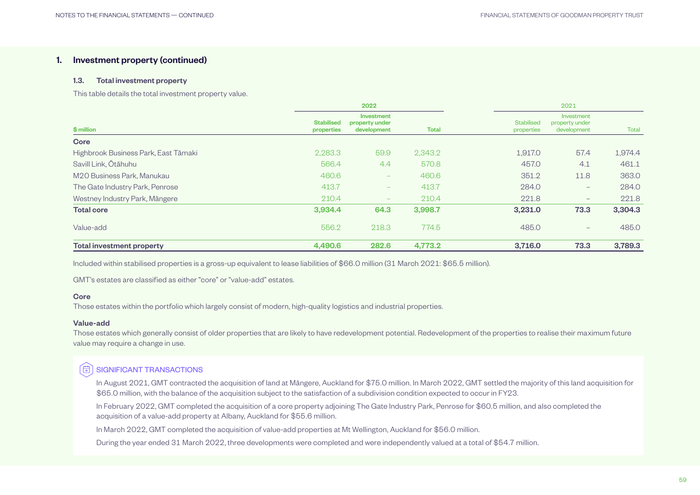#### 1.3. Total investment property

This table details the total investment property value.

|                                      |                                 |                                             | 2021         |                                 |                                             |         |
|--------------------------------------|---------------------------------|---------------------------------------------|--------------|---------------------------------|---------------------------------------------|---------|
| \$ million                           | <b>Stabilised</b><br>properties | Investment<br>property under<br>development | <b>Total</b> | <b>Stabilised</b><br>properties | Investment<br>property under<br>development | Total   |
| Core                                 |                                 |                                             |              |                                 |                                             |         |
| Highbrook Business Park, East Tāmaki | 2,283.3                         | 59.9                                        | 2,343.2      | 1,917.0                         | 57.4                                        | 1,974.4 |
| Savill Link, Ōtāhuhu                 | 566.4                           | 4.4                                         | 570.8        | 457.0                           | 4.1                                         | 461.1   |
| M20 Business Park, Manukau           | 460.6                           | $\qquad \qquad \blacksquare$                | 460.6        | 351.2                           | 11.8                                        | 363.0   |
| The Gate Industry Park, Penrose      | 413.7                           | $\overline{\phantom{a}}$                    | 413.7        | 284.0                           | $\overline{\phantom{0}}$                    | 284.0   |
| Westney Industry Park, Mängere       | 210.4                           | $\overline{\phantom{a}}$                    | 210.4        | 221.8                           | $\qquad \qquad -$                           | 221.8   |
| <b>Total core</b>                    | 3,934.4                         | 64.3                                        | 3,998.7      | 3,231.0                         | 73.3                                        | 3,304.3 |
| Value-add                            | 556.2                           | 218.3                                       | 774.5        | 485.0                           | $\qquad \qquad -$                           | 485.0   |
| <b>Total investment property</b>     | 4,490.6                         | 282.6                                       | 4,773.2      | 3,716.0                         | 73.3                                        | 3,789.3 |

Included within stabilised properties is a gross-up equivalent to lease liabilities of \$66.0 million (31 March 2021: \$65.5 million).

GMT's estates are classified as either "core" or "value-add" estates.

#### **Core**

Those estates within the portfolio which largely consist of modern, high-quality logistics and industrial properties.

#### Value-add

Those estates which generally consist of older properties that are likely to have redevelopment potential. Redevelopment of the properties to realise their maximum future value may require a change in use.

#### 佣 SIGNIFICANT TRANSACTIONS

In August 2021, GMT contracted the acquisition of land at Māngere, Auckland for \$75.0 million. In March 2022, GMT settled the majority of this land acquisition for \$65.0 million, with the balance of the acquisition subject to the satisfaction of a subdivision condition expected to occur in FY23.

In February 2022, GMT completed the acquisition of a core property adjoining The Gate Industry Park, Penrose for \$60.5 million, and also completed the acquisition of a value-add property at Albany, Auckland for \$55.6 million.

In March 2022, GMT completed the acquisition of value-add properties at Mt Wellington, Auckland for \$56.0 million.

During the year ended 31 March 2022, three developments were completed and were independently valued at a total of \$54.7 million.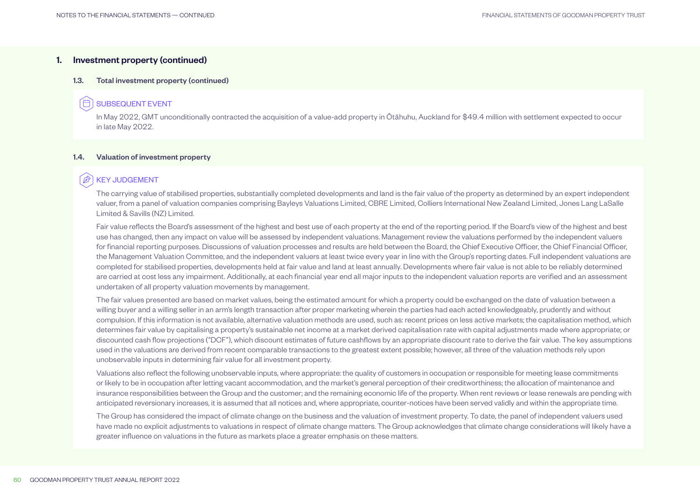#### 1.3. Total investment property (continued)

#### 佰 SUBSEQUENT EVENT

In May 2022, GMT unconditionally contracted the acquisition of a value-add property in Ōtāhuhu, Auckland for \$49.4 million with settlement expected to occur in late May 2022.

#### 1.4. Valuation of investment property

#### B KEY JUDGEMENT

The carrying value of stabilised properties, substantially completed developments and land is the fair value of the property as determined by an expert independent valuer, from a panel of valuation companies comprising Bayleys Valuations Limited, CBRE Limited, Colliers International New Zealand Limited, Jones Lang LaSalle Limited & Savills (NZ) Limited.

Fair value reflects the Board's assessment of the highest and best use of each property at the end of the reporting period. If the Board's view of the highest and best use has changed, then any impact on value will be assessed by independent valuations. Management review the valuations performed by the independent valuers for financial reporting purposes. Discussions of valuation processes and results are held between the Board, the Chief Executive Officer, the Chief Financial Officer, the Management Valuation Committee, and the independent valuers at least twice every year in line with the Group's reporting dates. Full independent valuations are completed for stabilised properties, developments held at fair value and land at least annually. Developments where fair value is not able to be reliably determined are carried at cost less any impairment. Additionally, at each financial year end all major inputs to the independent valuation reports are verified and an assessment undertaken of all property valuation movements by management.

The fair values presented are based on market values, being the estimated amount for which a property could be exchanged on the date of valuation between a willing buyer and a willing seller in an arm's length transaction after proper marketing wherein the parties had each acted knowledgeably, prudently and without compulsion. If this information is not available, alternative valuation methods are used, such as: recent prices on less active markets; the capitalisation method, which determines fair value by capitalising a property's sustainable net income at a market derived capitalisation rate with capital adjustments made where appropriate; or discounted cash flow projections ("DCF"), which discount estimates of future cashflows by an appropriate discount rate to derive the fair value. The key assumptions used in the valuations are derived from recent comparable transactions to the greatest extent possible; however, all three of the valuation methods rely upon unobservable inputs in determining fair value for all investment property.

Valuations also reflect the following unobservable inputs, where appropriate: the quality of customers in occupation or responsible for meeting lease commitments or likely to be in occupation after letting vacant accommodation, and the market's general perception of their creditworthiness; the allocation of maintenance and insurance responsibilities between the Group and the customer; and the remaining economic life of the property. When rent reviews or lease renewals are pending with anticipated reversionary increases, it is assumed that all notices and, where appropriate, counter-notices have been served validly and within the appropriate time.

The Group has considered the impact of climate change on the business and the valuation of investment property. To date, the panel of independent valuers used have made no explicit adjustments to valuations in respect of climate change matters. The Group acknowledges that climate change considerations will likely have a greater influence on valuations in the future as markets place a greater emphasis on these matters.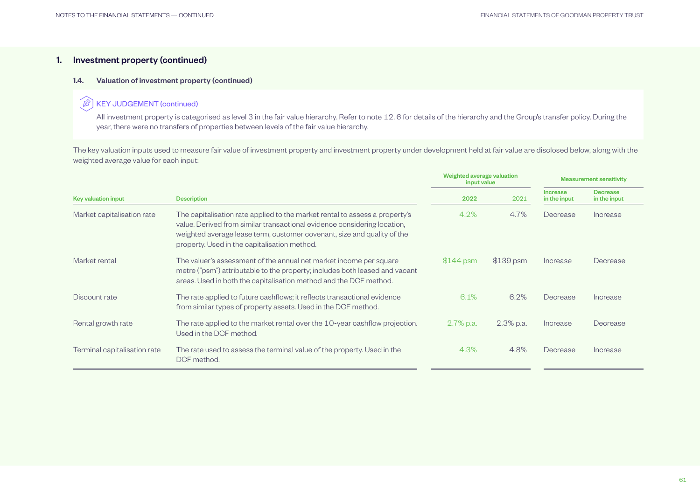#### 1.4. Valuation of investment property (continued)

#### $\mathbb{Z}$ KEY JUDGEMENT (continued)

All investment property is categorised as level 3 in the fair value hierarchy. Refer to note 12.6 for details of the hierarchy and the Group's transfer policy. During the year, there were no transfers of properties between levels of the fair value hierarchy.

The key valuation inputs used to measure fair value of investment property and investment property under development held at fair value are disclosed below, along with the weighted average value for each input:

|                              |                                                                                                                                                                                                                                                                                    | Weighted average valuation<br>input value |              | <b>Measurement sensitivity</b>  |                          |
|------------------------------|------------------------------------------------------------------------------------------------------------------------------------------------------------------------------------------------------------------------------------------------------------------------------------|-------------------------------------------|--------------|---------------------------------|--------------------------|
| <b>Key valuation input</b>   | <b>Description</b>                                                                                                                                                                                                                                                                 | 2022                                      | 2021         | <b>Increase</b><br>in the input | Decrease<br>in the input |
| Market capitalisation rate   | The capitalisation rate applied to the market rental to assess a property's<br>value. Derived from similar transactional evidence considering location,<br>weighted average lease term, customer covenant, size and quality of the<br>property. Used in the capitalisation method. | 4.2%                                      | 4.7%         | Decrease                        | Increase                 |
| Market rental                | The valuer's assessment of the annual net market income per square<br>metre ("psm") attributable to the property; includes both leased and vacant<br>areas. Used in both the capitalisation method and the DCF method.                                                             | $$144$ psm                                | $$139$ psm   | Increase                        | Decrease                 |
| Discount rate                | The rate applied to future cashflows; it reflects transactional evidence<br>from similar types of property assets. Used in the DCF method.                                                                                                                                         | 6.1%                                      | 6.2%         | Decrease                        | Increase                 |
| Rental growth rate           | The rate applied to the market rental over the 10-year cashflow projection.<br>Used in the DCF method.                                                                                                                                                                             | $2.7\%$ p.a.                              | $2.3\%$ p.a. | Increase                        | Decrease                 |
| Terminal capitalisation rate | The rate used to assess the terminal value of the property. Used in the<br>DCF method.                                                                                                                                                                                             | 4.3%                                      | 4.8%         | Decrease                        | Increase                 |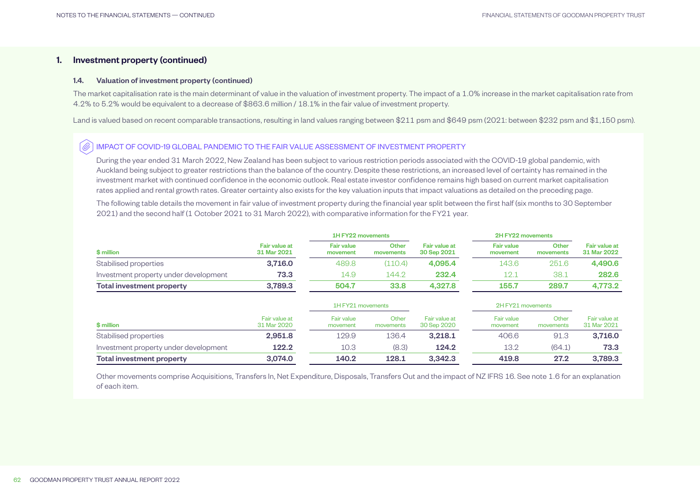#### 1.4. Valuation of investment property (continued)

The market capitalisation rate is the main determinant of value in the valuation of investment property. The impact of a 1.0% increase in the market capitalisation rate from 4.2% to 5.2% would be equivalent to a decrease of \$863.6 million / 18.1% in the fair value of investment property.

Land is valued based on recent comparable transactions, resulting in land values ranging between \$211 psm and \$649 psm (2021: between \$232 psm and \$1,150 psm).

#### IMPACT OF COVID-19 GLOBAL PANDEMIC TO THE FAIR VALUE ASSESSMENT OF INVESTMENT PROPERTY  $\widehat{\mathscr{O}}$

During the year ended 31 March 2022, New Zealand has been subject to various restriction periods associated with the COVID-19 global pandemic, with Auckland being subject to greater restrictions than the balance of the country. Despite these restrictions, an increased level of certainty has remained in the investment market with continued confidence in the economic outlook. Real estate investor confidence remains high based on current market capitalisation rates applied and rental growth rates. Greater certainty also exists for the key valuation inputs that impact valuations as detailed on the preceding page.

The following table details the movement in fair value of investment property during the financial year split between the first half (six months to 30 September 2021) and the second half (1 October 2021 to 31 March 2022), with comparative information for the FY21 year.

|                                       |                                     | 1H FY22 movements             |                    |                                     |                               | 2H FY22 movements  |                                     |
|---------------------------------------|-------------------------------------|-------------------------------|--------------------|-------------------------------------|-------------------------------|--------------------|-------------------------------------|
| \$ million                            | <b>Fair value at</b><br>31 Mar 2021 | <b>Fair value</b><br>movement | Other<br>movements | <b>Fair value at</b><br>30 Sep 2021 | <b>Fair value</b><br>movement | Other<br>movements | <b>Fair value at</b><br>31 Mar 2022 |
| Stabilised properties                 | 3.716.0                             | 489.8                         | (110.4)            | 4.095.4                             | 143.6                         | 251.6              | 4.490.6                             |
| Investment property under development | 73.3                                | 14.9                          | 144.2              | 232.4                               | 12.1                          | 38.1               | 282.6                               |
| Total investment property             | 3,789.3                             | 504.7                         | 33.8               | 4.327.8                             | 155.7                         | 289.7              | 4.773.2                             |

|                                       |                              | 1H FY21 movements      |                    |                              | 2H FY21 movements             |                    |                              |
|---------------------------------------|------------------------------|------------------------|--------------------|------------------------------|-------------------------------|--------------------|------------------------------|
| \$ million                            | Fair value at<br>31 Mar 2020 | Fair value<br>movement | Other<br>movements | Fair value at<br>30 Sep 2020 | <b>Fair value</b><br>movement | Other<br>movements | Fair value at<br>31 Mar 2021 |
| Stabilised properties                 | 2,951.8                      | 129.9                  | 136.4              | 3.218.1                      | 406.6                         | 91.3               | 3.716.0                      |
| Investment property under development | 122.2                        | 10.3                   | (8.3)              | 124.2                        | 13.2                          | (64.1)             | 73.3                         |
| Total investment property             | 3.074.0                      | 140.2                  | 128.1              | 3.342.3                      | 419.8                         | 27.2               | 3.789.3                      |

Other movements comprise Acquisitions, Transfers In, Net Expenditure, Disposals, Transfers Out and the impact of NZ IFRS 16. See note 1.6 for an explanation of each item.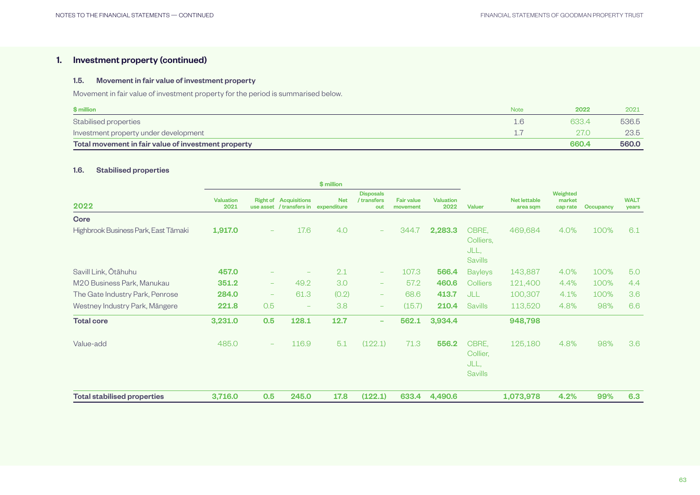#### 1.5. Movement in fair value of investment property

Movement in fair value of investment property for the period is summarised below.

| \$ million                                          | Note | 2022  | 2021  |
|-----------------------------------------------------|------|-------|-------|
| Stabilised properties                               | 1.6  | 633.4 | 536.5 |
| Investment property under development               |      | 27(   | 23.5  |
| Total movement in fair value of investment property |      | 660.4 | 560.0 |

### 1.6. Stabilised properties

|                                      | \$ million               |                          |                                                                      |            |                                        |                               |                          |                                                  |                                |                  |                      |     |
|--------------------------------------|--------------------------|--------------------------|----------------------------------------------------------------------|------------|----------------------------------------|-------------------------------|--------------------------|--------------------------------------------------|--------------------------------|------------------|----------------------|-----|
| 2022                                 | <b>Valuation</b><br>2021 |                          | <b>Right of Acquisitions</b><br>use asset / transfers in expenditure | <b>Net</b> | <b>Disposals</b><br>/ transfers<br>out | <b>Fair value</b><br>movement | <b>Valuation</b><br>2022 | <b>Net lettable</b><br><b>Valuer</b><br>area sqm | Weighted<br>market<br>cap rate | <b>Occupancy</b> | <b>WALT</b><br>years |     |
| <b>Core</b>                          |                          |                          |                                                                      |            |                                        |                               |                          |                                                  |                                |                  |                      |     |
| Highbrook Business Park, East Tāmaki | 1,917.0                  | -                        | 17.6                                                                 | 4.0        | $\qquad \qquad -$                      | 344.7                         | 2,283.3                  | CBRE,<br>Colliers,<br>JLL,<br><b>Savills</b>     | 469,684                        | 4.0%             | 100%                 | 6.1 |
| Savill Link, Ōtāhuhu                 | 457.0                    |                          |                                                                      | 2.1        | $\qquad \qquad -$                      | 107.3                         | 566.4                    | <b>Bayleys</b>                                   | 143,887                        | 4.0%             | 100%                 | 5.0 |
| M20 Business Park, Manukau           | 351.2                    | $\qquad \qquad -$        | 49.2                                                                 | 3.0        | $\qquad \qquad -$                      | 57.2                          | 460.6                    | Colliers                                         | 121,400                        | 4.4%             | 100%                 | 4.4 |
| The Gate Industry Park, Penrose      | 284.0                    | $\overline{\phantom{a}}$ | 61.3                                                                 | (0.2)      | $\qquad \qquad -$                      | 68.6                          | 413.7                    | JLL                                              | 100,307                        | 4.1%             | 100%                 | 3.6 |
| Westney Industry Park, Mängere       | 221.8                    | 0.5                      | $\overline{\phantom{m}}$                                             | 3.8        | $\qquad \qquad -$                      | (15.7)                        | 210.4                    | <b>Savills</b>                                   | 113,520                        | 4.8%             | 98%                  | 6.6 |
| <b>Total core</b>                    | 3,231.0                  | 0.5                      | 128.1                                                                | 12.7       | -                                      | 562.1                         | 3,934.4                  |                                                  | 948,798                        |                  |                      |     |
| Value-add                            | 485.0                    | $\overline{\phantom{0}}$ | 116.9                                                                | 5.1        | (122.1)                                | 71.3                          | 556.2                    | CBRE,<br>Collier,<br>JLL,<br><b>Savills</b>      | 125,180                        | 4.8%             | 98%                  | 3.6 |
| <b>Total stabilised properties</b>   | 3,716.0                  | 0.5                      | 245.0                                                                | 17.8       | (122.1)                                | 633.4                         | 4,490.6                  |                                                  | 1,073,978                      | 4.2%             | 99%                  | 6.3 |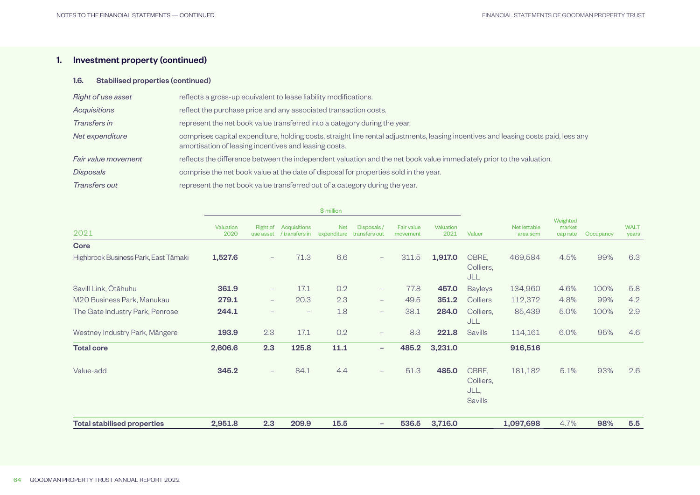## 1.6. Stabilised properties (continued)

| Right of use asset  | reflects a gross-up equivalent to lease liability modifications.                                                                                                                             |
|---------------------|----------------------------------------------------------------------------------------------------------------------------------------------------------------------------------------------|
| <b>Acquisitions</b> | reflect the purchase price and any associated transaction costs.                                                                                                                             |
| Transfers in        | represent the net book value transferred into a category during the year.                                                                                                                    |
| Net expenditure     | comprises capital expenditure, holding costs, straight line rental adjustments, leasing incentives and leasing costs paid, less any<br>amortisation of leasing incentives and leasing costs. |
| Fair value movement | reflects the difference between the independent valuation and the net book value immediately prior to the valuation.                                                                         |
| <b>Disposals</b>    | comprise the net book value at the date of disposal for properties sold in the year.                                                                                                         |
| Transfers out       | represent the net book value transferred out of a category during the year.                                                                                                                  |

|                                      | $$$ million       |                              |                                |                           |                             |                               |                   |                                              |                          |                                |           |                      |
|--------------------------------------|-------------------|------------------------------|--------------------------------|---------------------------|-----------------------------|-------------------------------|-------------------|----------------------------------------------|--------------------------|--------------------------------|-----------|----------------------|
| 2021                                 | Valuation<br>2020 | <b>Right of</b><br>use asset | Acquisitions<br>/ transfers in | <b>Net</b><br>expenditure | Disposals/<br>transfers out | <b>Fair value</b><br>movement | Valuation<br>2021 | Valuer                                       | Net lettable<br>area sqm | Weighted<br>market<br>cap rate | Occupancy | <b>WALT</b><br>years |
| <b>Core</b>                          |                   |                              |                                |                           |                             |                               |                   |                                              |                          |                                |           |                      |
| Highbrook Business Park, East Tāmaki | 1,527.6           | $-$                          | 71.3                           | 6.6                       | $\overline{\phantom{0}}$    | 311.5                         | 1,917.0           | CBRE,<br>Colliers,<br>JLL                    | 469,584                  | 4.5%                           | 99%       | 6.3                  |
| Savill Link, Ōtāhuhu                 | 361.9             | $\qquad \qquad -$            | 17.1                           | 0.2                       | $\overline{\phantom{m}}$    | 77.8                          | 457.0             | <b>Bayleys</b>                               | 134,960                  | 4.6%                           | 100%      | 5.8                  |
| M20 Business Park, Manukau           | 279.1             | $\qquad \qquad -$            | 20.3                           | 2.3                       | $\overline{\phantom{0}}$    | 49.5                          | 351.2             | Colliers                                     | 112,372                  | 4.8%                           | 99%       | 4.2                  |
| The Gate Industry Park, Penrose      | 244.1             | $\qquad \qquad -$            |                                | 1.8                       | $\qquad \qquad -$           | 38.1                          | 284.0             | Colliers,<br>JLL                             | 85,439                   | 5.0%                           | 100%      | 2.9                  |
| Westney Industry Park, Mängere       | 193.9             | 2.3                          | 17.1                           | 0.2                       | $\overline{\phantom{0}}$    | 8.3                           | 221.8             | Savills                                      | 114,161                  | 6.0%                           | 95%       | 4.6                  |
| <b>Total core</b>                    | 2,606.6           | 2.3                          | 125.8                          | 11.1                      | $\overline{\phantom{a}}$    | 485.2                         | 3,231.0           |                                              | 916,516                  |                                |           |                      |
| Value-add                            | 345.2             | $\qquad \qquad -$            | 84.1                           | 4.4                       | $\qquad \qquad -$           | 51.3                          | 485.0             | CBRE,<br>Colliers,<br>JLL,<br><b>Savills</b> | 181,182                  | 5.1%                           | 93%       | 2.6                  |
| <b>Total stabilised properties</b>   | 2,951.8           | 2.3                          | 209.9                          | 15.5                      | $\overline{\phantom{m}}$    | 536.5                         | 3,716.0           |                                              | 1,097,698                | 4.7%                           | 98%       | 5.5                  |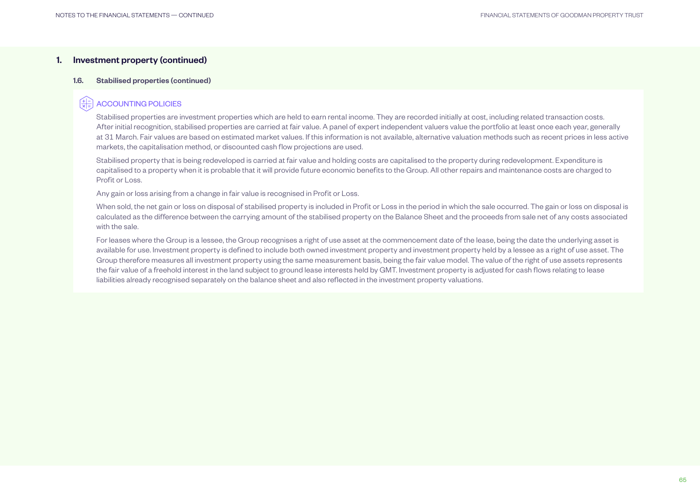#### 1.6. Stabilised properties (continued)

## ACCOUNTING POLICIES

Stabilised properties are investment properties which are held to earn rental income. They are recorded initially at cost, including related transaction costs. After initial recognition, stabilised properties are carried at fair value. A panel of expert independent valuers value the portfolio at least once each year, generally at 31 March. Fair values are based on estimated market values. If this information is not available, alternative valuation methods such as recent prices in less active markets, the capitalisation method, or discounted cash flow projections are used.

Stabilised property that is being redeveloped is carried at fair value and holding costs are capitalised to the property during redevelopment. Expenditure is capitalised to a property when it is probable that it will provide future economic benefits to the Group. All other repairs and maintenance costs are charged to Profit or Loss.

Any gain or loss arising from a change in fair value is recognised in Profit or Loss.

When sold, the net gain or loss on disposal of stabilised property is included in Profit or Loss in the period in which the sale occurred. The gain or loss on disposal is calculated as the difference between the carrying amount of the stabilised property on the Balance Sheet and the proceeds from sale net of any costs associated with the sale.

For leases where the Group is a lessee, the Group recognises a right of use asset at the commencement date of the lease, being the date the underlying asset is available for use. Investment property is defined to include both owned investment property and investment property held by a lessee as a right of use asset. The Group therefore measures all investment property using the same measurement basis, being the fair value model. The value of the right of use assets represents the fair value of a freehold interest in the land subject to ground lease interests held by GMT. Investment property is adjusted for cash flows relating to lease liabilities already recognised separately on the balance sheet and also reflected in the investment property valuations.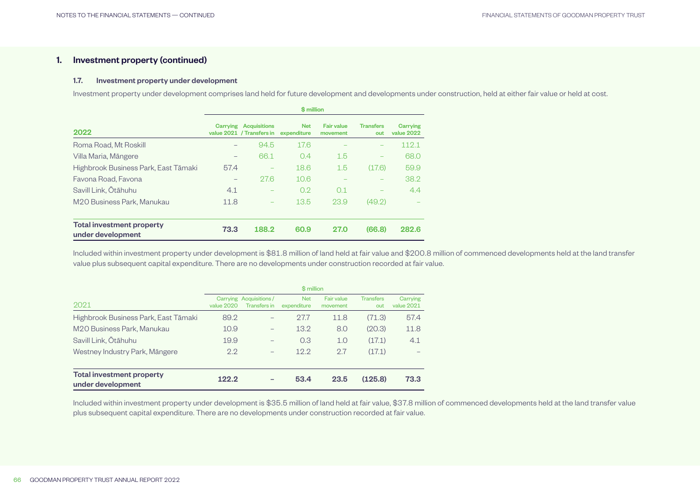#### 1.7. Investment property under development

Investment property under development comprises land held for future development and developments under construction, held at either fair value or held at cost.

|                                                       | \$ million               |                                                  |                           |                               |                         |                        |  |  |  |
|-------------------------------------------------------|--------------------------|--------------------------------------------------|---------------------------|-------------------------------|-------------------------|------------------------|--|--|--|
| 2022                                                  | Carrying                 | <b>Acquisitions</b><br>value 2021 / Transfers in | <b>Net</b><br>expenditure | <b>Fair value</b><br>movement | <b>Transfers</b><br>out | Carrying<br>value 2022 |  |  |  |
| Roma Road, Mt Roskill                                 | $\overline{\phantom{0}}$ | 94.5                                             | 17.6                      |                               |                         | 112.1                  |  |  |  |
| Villa Maria, Māngere                                  | $\qquad \qquad -$        | 66.1                                             | 0.4                       | 1.5                           |                         | 68.0                   |  |  |  |
| Highbrook Business Park, East Tāmaki                  | 57.4                     |                                                  | 18.6                      | 1.5                           | (17.6)                  | 59.9                   |  |  |  |
| Favona Road, Favona                                   | $\qquad \qquad -$        | 27.6                                             | 10.6                      |                               |                         | 38.2                   |  |  |  |
| Savill Link, Ōtāhuhu                                  | 4.1                      |                                                  | 0.2                       | 0.1                           |                         | 4.4                    |  |  |  |
| M20 Business Park, Manukau                            | 11.8                     |                                                  | 13.5                      | 23.9                          | (49.2)                  |                        |  |  |  |
| <b>Total investment property</b><br>under development | 73.3                     | 188.2                                            | 60.9                      | <b>27.0</b>                   | (66.8)                  | 282.6                  |  |  |  |

Included within investment property under development is \$81.8 million of land held at fair value and \$200.8 million of commenced developments held at the land transfer value plus subsequent capital expenditure. There are no developments under construction recorded at fair value.

|                                                | \$ million |                                        |                           |                        |                         |                        |  |  |
|------------------------------------------------|------------|----------------------------------------|---------------------------|------------------------|-------------------------|------------------------|--|--|
| 2021                                           | value 2020 | Carrying Acquisitions/<br>Transfers in | <b>Net</b><br>expenditure | Fair value<br>movement | <b>Transfers</b><br>out | Carrying<br>value 2021 |  |  |
| Highbrook Business Park, East Tāmaki           | 89.2       | -                                      | 27.7                      | 11.8                   | (71.3)                  | 57.4                   |  |  |
| M20 Business Park, Manukau                     | 10.9       | $\overline{\phantom{0}}$               | 13.2                      | 8.0                    | (20.3)                  | 11.8                   |  |  |
| Savill Link, Ōtāhuhu                           | 19.9       | $\overline{\phantom{0}}$               | 0.3                       | 1.0                    | (17.1)                  | 4.1                    |  |  |
| Westney Industry Park, Māngere                 | 2.2        | $\overline{\phantom{0}}$               | 12.2                      | 2.7                    | (17.1)                  |                        |  |  |
| Total investment property<br>under development | 122.2      |                                        | 53.4                      | 23.5                   | (125.8)                 | 73.3                   |  |  |

Included within investment property under development is \$35.5 million of land held at fair value, \$37.8 million of commenced developments held at the land transfer value plus subsequent capital expenditure. There are no developments under construction recorded at fair value.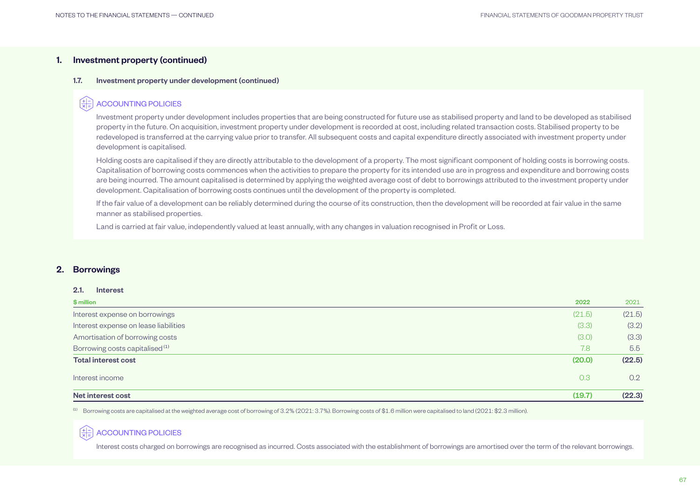#### <span id="page-16-0"></span>1.7. Investment property under development (continued)

## ACCOUNTING POLICIES

Investment property under development includes properties that are being constructed for future use as stabilised property and land to be developed as stabilised property in the future. On acquisition, investment property under development is recorded at cost, including related transaction costs. Stabilised property to be redeveloped is transferred at the carrying value prior to transfer. All subsequent costs and capital expenditure directly associated with investment property under development is capitalised.

Holding costs are capitalised if they are directly attributable to the development of a property. The most significant component of holding costs is borrowing costs. Capitalisation of borrowing costs commences when the activities to prepare the property for its intended use are in progress and expenditure and borrowing costs are being incurred. The amount capitalised is determined by applying the weighted average cost of debt to borrowings attributed to the investment property under development. Capitalisation of borrowing costs continues until the development of the property is completed.

If the fair value of a development can be reliably determined during the course of its construction, then the development will be recorded at fair value in the same manner as stabilised properties.

Land is carried at fair value, independently valued at least annually, with any changes in valuation recognised in Profit or Loss.

## 2. Borrowings

#### 2.1. Interest

| \$ million                                 | 2022   | 2021   |
|--------------------------------------------|--------|--------|
| Interest expense on borrowings             | (21.5) | (21.5) |
| Interest expense on lease liabilities      | (3.3)  | (3.2)  |
| Amortisation of borrowing costs            | (3.0)  | (3.3)  |
| Borrowing costs capitalised <sup>(1)</sup> | 7.8    | 5.5    |
| <b>Total interest cost</b>                 | (20.0) | (22.5) |
| Interest income                            | 0.3    | 0.2    |
| Net interest cost                          | (19.7) | (22.3) |

(1) Borrowing costs are capitalised at the weighted average cost of borrowing of 3.2% (2021: 3.7%). Borrowing costs of \$1.6 million were capitalised to land (2021: \$2.3 million).

## ACCOUNTING POLICIES

Interest costs charged on borrowings are recognised as incurred. Costs associated with the establishment of borrowings are amortised over the term of the relevant borrowings.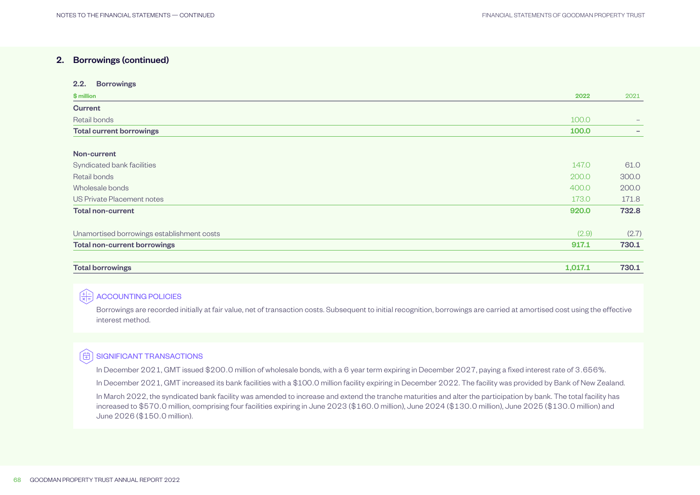#### 2.2. Borrowings

| \$ million                                 | 2022    | 2021  |
|--------------------------------------------|---------|-------|
| <b>Current</b>                             |         |       |
| Retail bonds                               | 100.0   | $-$   |
| <b>Total current borrowings</b>            | 100.0   |       |
| Non-current                                |         |       |
| Syndicated bank facilities                 | 147.0   | 61.0  |
| Retail bonds                               | 200.0   | 300.0 |
| Wholesale bonds                            | 400.0   | 200.0 |
| US Private Placement notes                 | 173.0   | 171.8 |
| <b>Total non-current</b>                   | 920.0   | 732.8 |
| Unamortised borrowings establishment costs | (2.9)   | (2.7) |
| <b>Total non-current borrowings</b>        | 917.1   | 730.1 |
| <b>Total borrowings</b>                    | 1,017.1 | 730.1 |

## $\left(\frac{4}{\times 4}\right)$  ACCOUNTING POLICIES

Borrowings are recorded initially at fair value, net of transaction costs. Subsequent to initial recognition, borrowings are carried at amortised cost using the effective interest method.

## **( + 3 SIGNIFICANT TRANSACTIONS**

In December 2021, GMT issued \$200.0 million of wholesale bonds, with a 6 year term expiring in December 2027, paying a fixed interest rate of 3.656%.

In December 2021, GMT increased its bank facilities with a \$100.0 million facility expiring in December 2022. The facility was provided by Bank of New Zealand.

In March 2022, the syndicated bank facility was amended to increase and extend the tranche maturities and alter the participation by bank. The total facility has increased to \$570.0 million, comprising four facilities expiring in June 2023 (\$160.0 million), June 2024 (\$130.0 million), June 2025 (\$130.0 million) and June 2026 (\$150.0 million).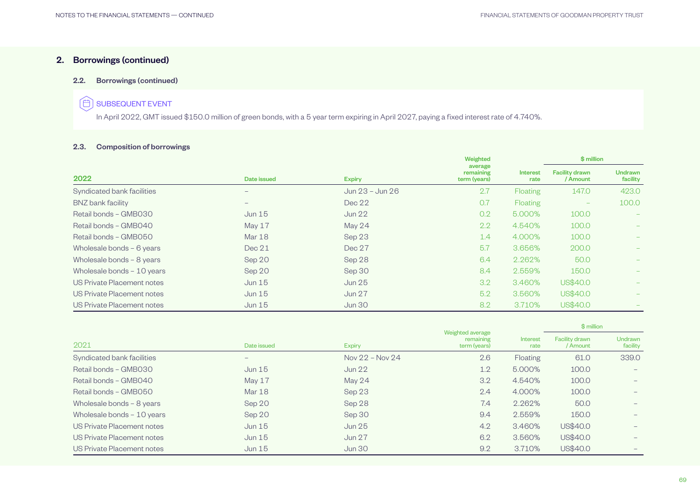#### 2.2. Borrowings (continued)

## $\circledf$  SUBSEQUENT EVENT

In April 2022, GMT issued \$150.0 million of green bonds, with a 5 year term expiring in April 2027, paying a fixed interest rate of 4.740%.

## 2.3. Composition of borrowings

|                            |                          |                 | Weighted                             |                  | \$ million                        |                            |
|----------------------------|--------------------------|-----------------|--------------------------------------|------------------|-----------------------------------|----------------------------|
| 2022                       | Date issued              | <b>Expiry</b>   | average<br>remaining<br>term (years) | Interest<br>rate | <b>Facility drawn</b><br>/ Amount | <b>Undrawn</b><br>facility |
| Syndicated bank facilities | $\qquad \qquad$          | Jun 23 - Jun 26 | 2.7                                  | <b>Floating</b>  | 147.0                             | 423.0                      |
| BNZ bank facility          | $\overline{\phantom{0}}$ | Dec 22          | O.7                                  | <b>Floating</b>  | $\overline{\phantom{0}}$          | 100.0                      |
| Retail bonds - GMB030      | Jun $15$                 | Jun 22          | 0.2                                  | 5.000%           | 100.0                             |                            |
| Retail bonds - GMB040      | May $17$                 | May 24          | 2.2                                  | 4.540%           | 100.0                             | $-$                        |
| Retail bonds - GMB050      | Mar 18                   | Sep 23          | 1.4                                  | 4.000%           | 100.0                             |                            |
| Wholesale bonds - 6 years  | Dec 21                   | Dec 27          | 5.7                                  | 3.656%           | 200.0                             |                            |
| Wholesale bonds - 8 years  | Sep 20                   | Sep 28          | 6.4                                  | 2.262%           | 50.0                              |                            |
| Wholesale bonds - 10 years | Sep 20                   | Sep 30          | 8.4                                  | 2.559%           | 150.0                             | $-$                        |
| US Private Placement notes | Jun $15$                 | Jun 25          | 3.2                                  | 3.460%           | US\$40.0                          |                            |
| US Private Placement notes | Jun 15                   | <b>Jun 27</b>   | 5.2                                  | 3.560%           | US\$40.0                          |                            |
| US Private Placement notes | Jun $15$                 | <b>Jun 30</b>   | 8.2                                  | 3.710%           | US\$40.0                          |                            |

|                            |             |                     |                                               |                  | \$ million                        |                            |  |
|----------------------------|-------------|---------------------|-----------------------------------------------|------------------|-----------------------------------|----------------------------|--|
| 2021                       | Date issued | <b>Expiry</b>       | Weighted average<br>remaining<br>term (years) | Interest<br>rate | <b>Facility drawn</b><br>/ Amount | <b>Undrawn</b><br>facility |  |
| Syndicated bank facilities | $-$         | Nov $22 -$ Nov $24$ | 2.6                                           | Floating         | 61.0                              | 339.0                      |  |
| Retail bonds - GMB030      | Jun $15$    | Jun 22              | 1.2                                           | 5.000%           | 100.0                             |                            |  |
| Retail bonds - GMB040      | May 17      | May 24              | 3.2                                           | 4.540%           | 100.0                             |                            |  |
| Retail bonds - GMB050      | Mar 18      | Sep 23              | 2.4                                           | 4.000%           | 100.0                             |                            |  |
| Wholesale bonds - 8 years  | Sep 20      | Sep 28              | 7.4                                           | 2.262%           | 50.0                              |                            |  |
| Wholesale bonds - 10 years | Sep 20      | Sep 30              | 9.4                                           | 2.559%           | 150.0                             |                            |  |
| US Private Placement notes | Jun 15      | Jun 25              | 4.2                                           | 3.460%           | US\$40.0                          |                            |  |
| US Private Placement notes | Jun 15      | <b>Jun 27</b>       | 6.2                                           | 3.560%           | US\$40.0                          |                            |  |
| US Private Placement notes | Jun 15      | <b>Jun 30</b>       | 9.2                                           | 3.710%           | US\$40.0                          |                            |  |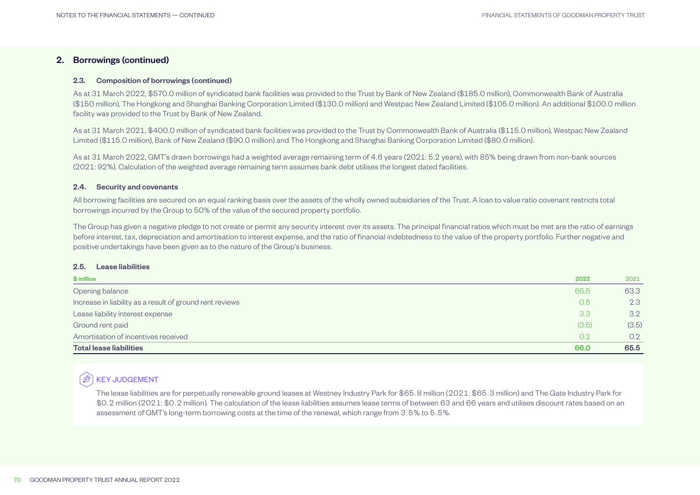#### 2.3. Composition of borrowings (continued)

As at 31 March 2022, \$570.0 million of syndicated bank facilities was provided to the Trust by Bank of New Zealand (\$185.0 million), Commonwealth Bank of Australia (\$150 million), The Hongkong and Shanghai Banking Corporation Limited (\$130.0 million) and Westpac New Zealand Limited (\$105.0 million). An additional \$100.0 million facility was provided to the Trust by Bank of New Zealand.

As at 31 March 2021, \$400.0 million of syndicated bank facilities was provided to the Trust by Commonwealth Bank of Australia (\$115.0 million), Westpac New Zealand Limited (\$115.0 million), Bank of New Zealand (\$90.0 million) and The Hongkong and Shanghai Banking Corporation Limited (\$80.0 million).

As at 31 March 2022, GMT's drawn borrowings had a weighted average remaining term of 4.6 years (2021: 5.2 years), with 85% being drawn from non-bank sources (2021: 92%). Calculation of the weighted average remaining term assumes bank debt utilises the longest dated facilities.

#### 2.4. Security and covenants

All borrowing facilities are secured on an equal ranking basis over the assets of the wholly owned subsidiaries of the Trust. A loan to value ratio covenant restricts total borrowings incurred by the Group to 50% of the value of the secured property portfolio.

The Group has given a negative pledge to not create or permit any security interest over its assets. The principal financial ratios which must be met are the ratio of earnings before interest, tax, depreciation and amortisation to interest expense, and the ratio of financial indebtedness to the value of the property portfolio. Further negative and positive undertakings have been given as to the nature of the Group's business.

#### 2.5. Lease liabilities

| \$ million                                               | 2022  | 2021  |
|----------------------------------------------------------|-------|-------|
| Opening balance                                          | 65.5  | 63.3  |
| Increase in liability as a result of ground rent reviews | 0.5   | 2.3   |
| Lease liability interest expense                         | 3.3   | 3.2   |
| Ground rent paid                                         | (3.5) | (3.5) |
| Amortisation of incentives received                      | 0.2   | 0.2   |
| <b>Total lease liabilities</b>                           | 66.0  | 65.5  |

## **B** KEY JUDGEMENT

The lease liabilities are for perpetually renewable ground leases at Westney Industry Park for \$65.8 million (2021: \$65.3 million) and The Gate Industry Park for \$0.2 million (2021: \$0.2 million). The calculation of the lease liabilities assumes lease terms of between 63 and 66 years and utilises discount rates based on an assessment of GMT's long-term borrowing costs at the time of the renewal, which range from 3.5% to 5.5%.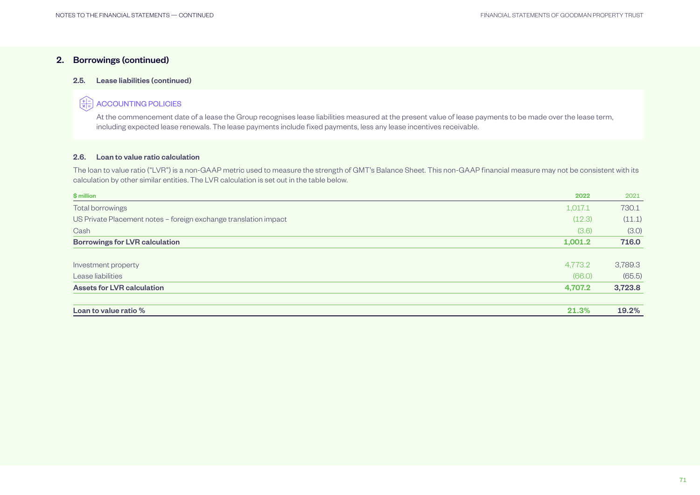#### 2.5. Lease liabilities (continued)

#### (#) ACCOUNTING POLICIES

At the commencement date of a lease the Group recognises lease liabilities measured at the present value of lease payments to be made over the lease term, including expected lease renewals. The lease payments include fixed payments, less any lease incentives receivable.

#### 2.6. Loan to value ratio calculation

The loan to value ratio ("LVR") is a non-GAAP metric used to measure the strength of GMT's Balance Sheet. This non-GAAP financial measure may not be consistent with its calculation by other similar entities. The LVR calculation is set out in the table below.

| \$ million                                                       | 2022    | 2021    |
|------------------------------------------------------------------|---------|---------|
| Total borrowings                                                 | 1,017.1 | 730.1   |
| US Private Placement notes – foreign exchange translation impact | (12.3)  | (11.1)  |
| Cash                                                             | (3.6)   | (3.0)   |
| <b>Borrowings for LVR calculation</b>                            | 1,001.2 | 716.0   |
|                                                                  |         |         |
| Investment property                                              | 4,773.2 | 3,789.3 |
| Lease liabilities                                                | (66.0)  | (65.5)  |
| <b>Assets for LVR calculation</b>                                | 4,707.2 | 3,723.8 |
|                                                                  |         |         |
| Loan to value ratio %                                            | 21.3%   | 19.2%   |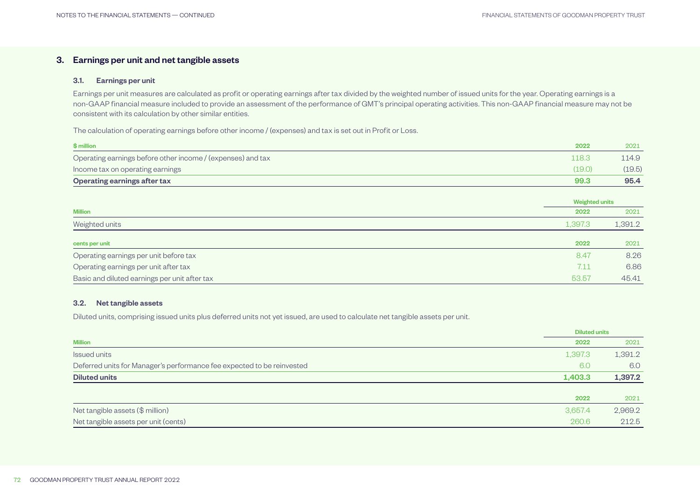## <span id="page-21-0"></span>3. Earnings per unit and net tangible assets

#### 3.1. Earnings per unit

Earnings per unit measures are calculated as profit or operating earnings after tax divided by the weighted number of issued units for the year. Operating earnings is a non-GAAP financial measure included to provide an assessment of the performance of GMT's principal operating activities. This non-GAAP financial measure may not be consistent with its calculation by other similar entities.

The calculation of operating earnings before other income / (expenses) and tax is set out in Profit or Loss.

| \$ million                                                  | 2022   | 2021   |
|-------------------------------------------------------------|--------|--------|
| Operating earnings before other income / (expenses) and tax | '18.3  | 114.9  |
| Income tax on operating earnings                            | (19.0) | (19.5) |
| Operating earnings after tax                                | 99.3   | 95.4   |

|                                               |         | <b>Weighted units</b> |  |
|-----------------------------------------------|---------|-----------------------|--|
| <b>Million</b>                                | 2022    | 2021                  |  |
| Weighted units                                | 1,397.3 | 1,391.2               |  |
| cents per unit                                | 2022    | 2021                  |  |
| Operating earnings per unit before tax        | 8.47    | 8.26                  |  |
| Operating earnings per unit after tax         | 7.11    | 6.86                  |  |
| Basic and diluted earnings per unit after tax | 53.57   | 45.41                 |  |

#### 3.2. Net tangible assets

Diluted units, comprising issued units plus deferred units not yet issued, are used to calculate net tangible assets per unit.

|                                                                        |         | <b>Diluted units</b> |
|------------------------------------------------------------------------|---------|----------------------|
| <b>Million</b>                                                         | 2022    | 2021                 |
| <b>Issued units</b>                                                    | 1,397.3 | 1,391.2              |
| Deferred units for Manager's performance fee expected to be reinvested | 6.0     | 6.0                  |
| <b>Diluted units</b>                                                   | 1,403.3 | 1,397.2              |
|                                                                        |         |                      |
|                                                                        | 2022    | 2021                 |
| Net tangible assets (\$ million)                                       | 3,657.4 | 2,969.2              |
| Net tangible assets per unit (cents)                                   | 260.6   | 212.5                |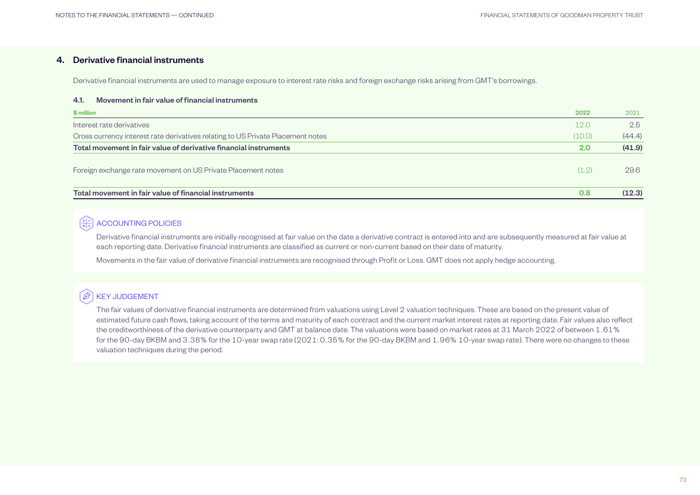## <span id="page-22-0"></span>4. Derivative financial instruments

Derivative financial instruments are used to manage exposure to interest rate risks and foreign exchange risks arising from GMT's borrowings.

#### 4.1. Movement in fair value of financial instruments

| \$ million                                                                      | 2022   | 2021   |
|---------------------------------------------------------------------------------|--------|--------|
| Interest rate derivatives                                                       | 12.0   | 2.5    |
| Cross currency interest rate derivatives relating to US Private Placement notes | (10.0) | (44.4) |
| Total movement in fair value of derivative financial instruments                | 2.0    | (41.9) |
| Foreign exchange rate movement on US Private Placement notes                    | (1.2)  | 29.6   |
| Total movement in fair value of financial instruments                           | 0.8    | (12.3) |

## $\left(\frac{+}{\times}\right)$  ACCOUNTING POLICIES

Derivative financial instruments are initially recognised at fair value on the date a derivative contract is entered into and are subsequently measured at fair value at each reporting date. Derivative financial instruments are classified as current or non-current based on their date of maturity.

Movements in the fair value of derivative financial instruments are recognised through Profit or Loss. GMT does not apply hedge accounting.

## **B** KEY JUDGEMENT

The fair values of derivative financial instruments are determined from valuations using Level 2 valuation techniques. These are based on the present value of estimated future cash flows, taking account of the terms and maturity of each contract and the current market interest rates at reporting date. Fair values also reflect the creditworthiness of the derivative counterparty and GMT at balance date. The valuations were based on market rates at 31 March 2022 of between 1.61% for the 90-day BKBM and 3.38% for the 10-year swap rate (2021: 0.35% for the 90-day BKBM and 1.96% 10-year swap rate). There were no changes to these valuation techniques during the period.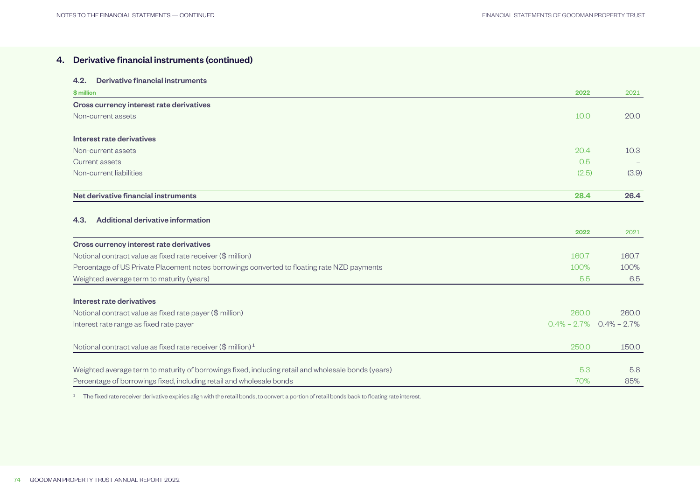## 4. Derivative financial instruments (continued)

#### 4.2. Derivative financial instruments

| \$ million                               | 2022  | 2021  |
|------------------------------------------|-------|-------|
| Cross currency interest rate derivatives |       |       |
| Non-current assets                       | 10.0  | 20.0  |
|                                          |       |       |
| Interest rate derivatives                |       |       |
| Non-current assets                       | 20.4  | 10.3  |
| Current assets                           | 0.5   | $-$   |
| Non-current liabilities                  | (2.5) | (3.9) |
|                                          |       |       |
| Net derivative financial instruments     | 28.4  | 26.4  |

### 4.3. Additional derivative information

|                                                                                                     | 2022            | 2021            |
|-----------------------------------------------------------------------------------------------------|-----------------|-----------------|
| Cross currency interest rate derivatives                                                            |                 |                 |
| Notional contract value as fixed rate receiver (\$ million)                                         | 160.7           | 160.7           |
| Percentage of US Private Placement notes borrowings converted to floating rate NZD payments         | 100%            | 100%            |
| Weighted average term to maturity (years)                                                           | 5.5             | 6.5             |
|                                                                                                     |                 |                 |
| Interest rate derivatives                                                                           |                 |                 |
| Notional contract value as fixed rate payer (\$ million)                                            | 260.0           | 260.0           |
| Interest rate range as fixed rate payer                                                             | $0.4\% - 2.7\%$ | $0.4\% - 2.7\%$ |
| Notional contract value as fixed rate receiver $(\$$ million) <sup>1</sup>                          | 250.0           | 150.0           |
|                                                                                                     |                 |                 |
| Weighted average term to maturity of borrowings fixed, including retail and wholesale bonds (years) | 5.3             | 5.8             |
| Percentage of borrowings fixed, including retail and wholesale bonds                                | 70%             | 85%             |

<sup>1</sup> The fixed rate receiver derivative expiries align with the retail bonds, to convert a portion of retail bonds back to floating rate interest.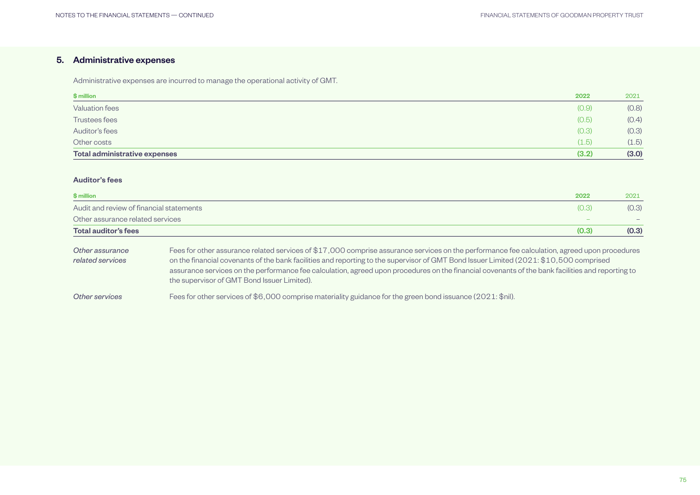## <span id="page-24-0"></span>5. Administrative expenses

Administrative expenses are incurred to manage the operational activity of GMT.

| \$ million                    | 2022  | 2021  |
|-------------------------------|-------|-------|
| <b>Valuation fees</b>         | (0.9) | (0.8) |
| Trustees fees                 | (0.5) | (0.4) |
| Auditor's fees                | (0.3) | (0.3) |
| Other costs                   | (1.5) | (1.5) |
| Total administrative expenses | (3.2) | (3.0) |

## Auditor's fees

| \$ million                               | 2022  | 2021  |
|------------------------------------------|-------|-------|
| Audit and review of financial statements | (0.3) | (0.3) |
| Other assurance related services         | -     |       |
| Total auditor's fees                     | (0.3) | (0.3) |

| Other assurance  | Fees for other assurance related services of \$17,000 comprise assurance services on the performance fee calculation, agreed upon procedures     |
|------------------|--------------------------------------------------------------------------------------------------------------------------------------------------|
| related services | on the financial covenants of the bank facilities and reporting to the supervisor of GMT Bond Issuer Limited (2021: \$10,500 comprised           |
|                  | assurance services on the performance fee calculation, agreed upon procedures on the financial covenants of the bank facilities and reporting to |
|                  | the supervisor of GMT Bond Issuer Limited).                                                                                                      |
|                  |                                                                                                                                                  |

*Other services* Fees for other services of \$6,000 comprise materiality guidance for the green bond issuance (2021: \$nil).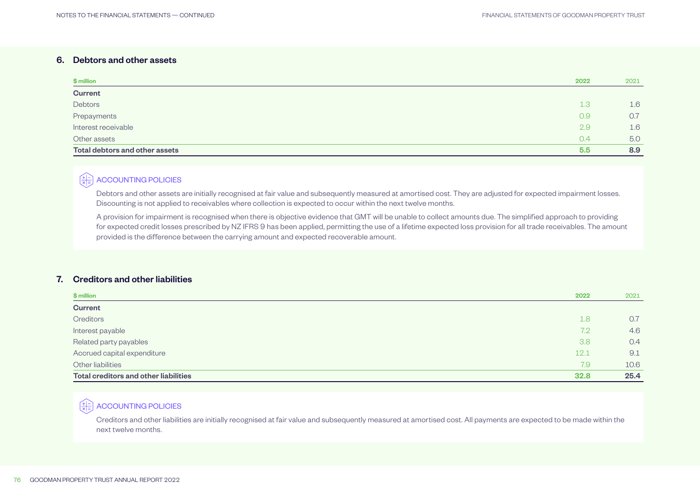## <span id="page-25-0"></span>6. Debtors and other assets

| \$ million                     | 2022             | 2021 |
|--------------------------------|------------------|------|
| <b>Current</b>                 |                  |      |
| Debtors                        | 1.3              | 1.6  |
| Prepayments                    | 0.9              | 0.7  |
| Interest receivable            | 2.9              | 1.6  |
| Other assets                   | 0.4              | 5.0  |
| Total debtors and other assets | 5.5 <sub>5</sub> | 8.9  |

## $\left(\frac{+1}{\times 1} \right)$  ACCOUNTING POLICIES

Debtors and other assets are initially recognised at fair value and subsequently measured at amortised cost. They are adjusted for expected impairment losses. Discounting is not applied to receivables where collection is expected to occur within the next twelve months.

A provision for impairment is recognised when there is objective evidence that GMT will be unable to collect amounts due. The simplified approach to providing for expected credit losses prescribed by NZ IFRS 9 has been applied, permitting the use of a lifetime expected loss provision for all trade receivables. The amount provided is the difference between the carrying amount and expected recoverable amount.

### 7. Creditors and other liabilities

| \$ million                            | 2022 | 2021 |
|---------------------------------------|------|------|
| <b>Current</b>                        |      |      |
| Creditors                             | 1.8  | 0.7  |
| Interest payable                      | 7.2  | 4.6  |
| Related party payables                | 3.8  | 0.4  |
| Accrued capital expenditure           | 12.1 | 9.1  |
| Other liabilities                     | 7.9  | 10.6 |
| Total creditors and other liabilities | 32.8 | 25.4 |

## $\left(\frac{4}{\times 1} \right)$  ACCOUNTING POLICIES

Creditors and other liabilities are initially recognised at fair value and subsequently measured at amortised cost. All payments are expected to be made within the next twelve months.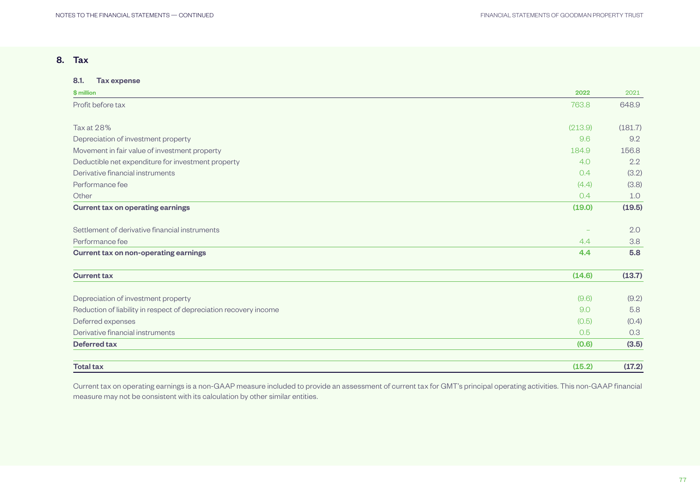## <span id="page-26-0"></span>8. Tax

| 8.1.<br><b>Tax expense</b>                                        |         |               |
|-------------------------------------------------------------------|---------|---------------|
| \$ million                                                        | 2022    | 2021          |
| Profit before tax                                                 | 763.8   | 648.9         |
| <b>Tax at 28%</b>                                                 | (213.9) | (181.7)       |
| Depreciation of investment property                               | 9.6     | 9.2           |
| Movement in fair value of investment property                     | 184.9   | 156.8         |
|                                                                   |         |               |
| Deductible net expenditure for investment property                | 4.0     | $2.2^{\circ}$ |
| Derivative financial instruments                                  | 0.4     | (3.2)         |
| Performance fee                                                   | (4.4)   | (3.8)         |
| Other                                                             | 0.4     | 1.0           |
| <b>Current tax on operating earnings</b>                          | (19.0)  | (19.5)        |
| Settlement of derivative financial instruments                    |         | 2.0           |
| Performance fee                                                   | 4.4     | 3.8           |
| <b>Current tax on non-operating earnings</b>                      | 4.4     | 5.8           |
| <b>Current tax</b>                                                | (14.6)  | (13.7)        |
| Depreciation of investment property                               | (9.6)   | (9.2)         |
| Reduction of liability in respect of depreciation recovery income | 9.0     | 5.8           |
| Deferred expenses                                                 | (0.5)   | (0.4)         |
| Derivative financial instruments                                  | 0.5     | 0.3           |
| <b>Deferred tax</b>                                               | (0.6)   | (3.5)         |
| <b>Total tax</b>                                                  | (15.2)  | (17.2)        |

Current tax on operating earnings is a non-GAAP measure included to provide an assessment of current tax for GMT's principal operating activities. This non-GAAP financial measure may not be consistent with its calculation by other similar entities.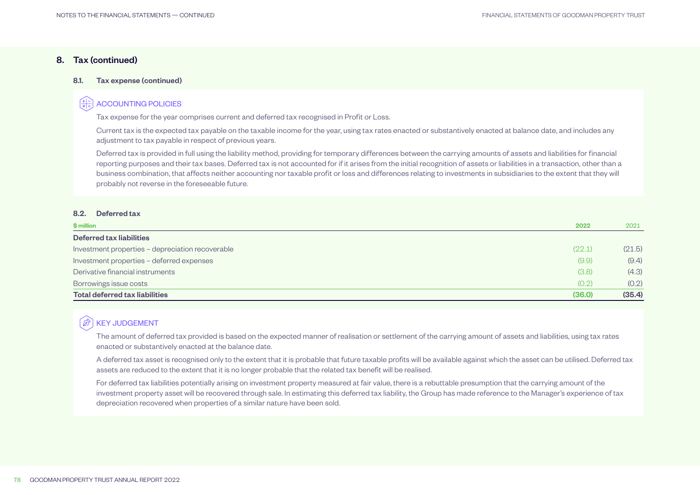## 8. Tax (continued)

#### 8.1. Tax expense (continued)

## ACCOUNTING POLICIES

Tax expense for the year comprises current and deferred tax recognised in Profit or Loss.

Current tax is the expected tax payable on the taxable income for the year, using tax rates enacted or substantively enacted at balance date, and includes any adjustment to tax payable in respect of previous years.

Deferred tax is provided in full using the liability method, providing for temporary differences between the carrying amounts of assets and liabilities for financial reporting purposes and their tax bases. Deferred tax is not accounted for if it arises from the initial recognition of assets or liabilities in a transaction, other than a business combination, that affects neither accounting nor taxable profit or loss and differences relating to investments in subsidiaries to the extent that they will probably not reverse in the foreseeable future.

#### 8.2. Deferred tax

| \$ million                                       | 2022   | 2021   |
|--------------------------------------------------|--------|--------|
| <b>Deferred tax liabilities</b>                  |        |        |
| Investment properties - depreciation recoverable | (22.1) | (21.5) |
| Investment properties - deferred expenses        | (9.9)  | (9.4)  |
| Derivative financial instruments                 | (3.8)  | (4.3)  |
| Borrowings issue costs                           | (0.2)  | (0.2)  |
| <b>Total deferred tax liabilities</b>            | (36.0) | (35.4) |

#### $\bigcirc$ KEY JUDGEMENT

The amount of deferred tax provided is based on the expected manner of realisation or settlement of the carrying amount of assets and liabilities, using tax rates enacted or substantively enacted at the balance date.

A deferred tax asset is recognised only to the extent that it is probable that future taxable profits will be available against which the asset can be utilised. Deferred tax assets are reduced to the extent that it is no longer probable that the related tax benefit will be realised.

For deferred tax liabilities potentially arising on investment property measured at fair value, there is a rebuttable presumption that the carrying amount of the investment property asset will be recovered through sale. In estimating this deferred tax liability, the Group has made reference to the Manager's experience of tax depreciation recovered when properties of a similar nature have been sold.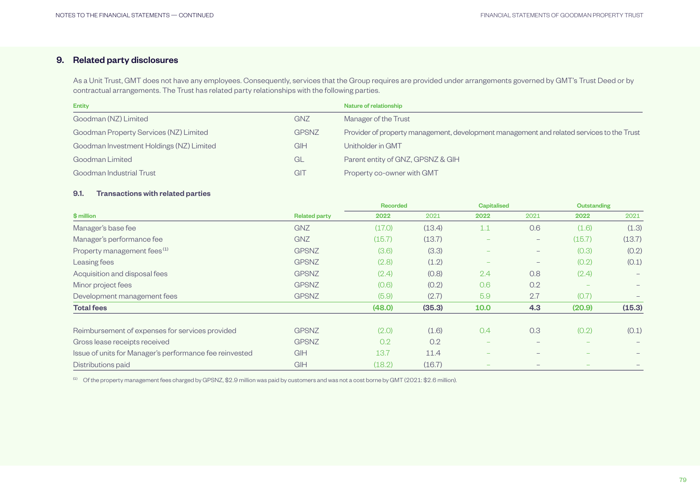## <span id="page-28-0"></span>9. Related party disclosures

As a Unit Trust, GMT does not have any employees. Consequently, services that the Group requires are provided under arrangements governed by GMT's Trust Deed or by contractual arrangements. The Trust has related party relationships with the following parties.

| <b>Entity</b>                            |              | Nature of relationship                                                                    |
|------------------------------------------|--------------|-------------------------------------------------------------------------------------------|
| Goodman (NZ) Limited                     | <b>GNZ</b>   | Manager of the Trust                                                                      |
| Goodman Property Services (NZ) Limited   | <b>GPSNZ</b> | Provider of property management, development management and related services to the Trust |
| Goodman Investment Holdings (NZ) Limited | <b>GIH</b>   | Unitholder in GMT                                                                         |
| Goodman Limited                          | GL           | Parent entity of GNZ, GPSNZ & GIH                                                         |
| Goodman Industrial Trust                 | GIT          | Property co-owner with GMT                                                                |

## 9.1. Transactions with related parties

|                                                         |                      | <b>Recorded</b> |        | <b>Capitalised</b>       |                                 | <b>Outstanding</b> |        |
|---------------------------------------------------------|----------------------|-----------------|--------|--------------------------|---------------------------------|--------------------|--------|
| \$ million                                              | <b>Related party</b> | 2022            | 2021   | 2022                     | 2021                            | 2022               | 2021   |
| Manager's base fee                                      | <b>GNZ</b>           | (17.0)          | (13.4) | 1.1                      | 0.6                             | (1.6)              | (1.3)  |
| Manager's performance fee                               | <b>GNZ</b>           | (15.7)          | (13.7) |                          | $\overline{\phantom{0}}$        | (15.7)             | (13.7) |
| Property management fees <sup>(1)</sup>                 | <b>GPSNZ</b>         | (3.6)           | (3.3)  |                          | $-$                             | (0.3)              | (0.2)  |
| Leasing fees                                            | <b>GPSNZ</b>         | (2.8)           | (1.2)  | $\overline{\phantom{m}}$ | $\hspace{0.1mm}-\hspace{0.1mm}$ | (0.2)              | (0.1)  |
| Acquisition and disposal fees                           | <b>GPSNZ</b>         | (2.4)           | (0.8)  | 2.4                      | 0.8                             | (2.4)              | -      |
| Minor project fees                                      | <b>GPSNZ</b>         | (0.6)           | (0.2)  | 0.6                      | 0.2                             |                    |        |
| Development management fees                             | <b>GPSNZ</b>         | (5.9)           | (2.7)  | 5.9                      | 2.7                             | (0.7)              |        |
| <b>Total fees</b>                                       |                      | (48.0)          | (35.3) | 10.0                     | 4.3                             | (20.9)             | (15.3) |
| Reimbursement of expenses for services provided         | <b>GPSNZ</b>         | (2.0)           | (1.6)  | 0.4                      | 0.3                             | (0.2)              | (0.1)  |
| Gross lease receipts received                           | <b>GPSNZ</b>         | 0.2             | 0.2    |                          |                                 |                    |        |
| Issue of units for Manager's performance fee reinvested | GIH                  | 13.7            | 11.4   |                          |                                 |                    |        |
| Distributions paid                                      | <b>GIH</b>           | (18.2)          | (16.7) |                          |                                 |                    |        |

(1) Of the property management fees charged by GPSNZ, \$2.9 million was paid by customers and was not a cost borne by GMT (2021: \$2.6 million).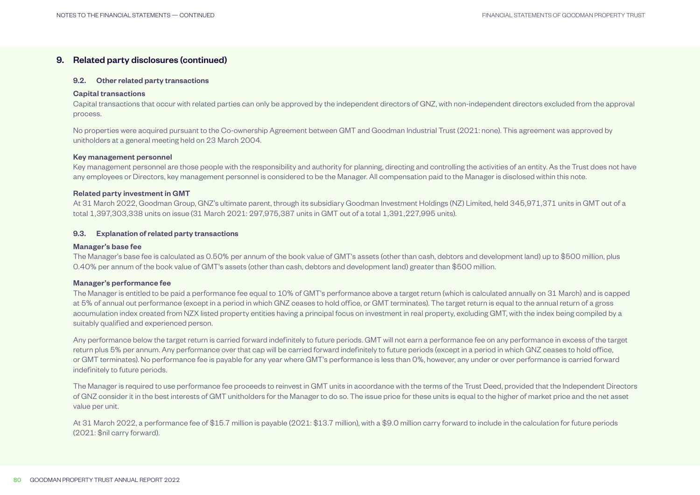## 9. Related party disclosures (continued)

#### 9.2. Other related party transactions

#### Capital transactions

Capital transactions that occur with related parties can only be approved by the independent directors of GNZ, with non-independent directors excluded from the approval process.

No properties were acquired pursuant to the Co-ownership Agreement between GMT and Goodman Industrial Trust (2021: none). This agreement was approved by unitholders at a general meeting held on 23 March 2004.

#### Key management personnel

Key management personnel are those people with the responsibility and authority for planning, directing and controlling the activities of an entity. As the Trust does not have any employees or Directors, key management personnel is considered to be the Manager. All compensation paid to the Manager is disclosed within this note.

#### Related party investment in GMT

At 31 March 2022, Goodman Group, GNZ's ultimate parent, through its subsidiary Goodman Investment Holdings (NZ) Limited, held 345,971,371 units in GMT out of a total 1,397,303,338 units on issue (31 March 2021: 297,975,387 units in GMT out of a total 1,391,227,995 units).

#### 9.3. Explanation of related party transactions

#### Manager's base fee

The Manager's base fee is calculated as 0.50% per annum of the book value of GMT's assets (other than cash, debtors and development land) up to \$500 million, plus 0.40% per annum of the book value of GMT's assets (other than cash, debtors and development land) greater than \$500 million.

#### Manager's performance fee

The Manager is entitled to be paid a performance fee equal to 10% of GMT's performance above a target return (which is calculated annually on 31 March) and is capped at 5% of annual out performance (except in a period in which GNZ ceases to hold office, or GMT terminates). The target return is equal to the annual return of a gross accumulation index created from NZX listed property entities having a principal focus on investment in real property, excluding GMT, with the index being compiled by a suitably qualified and experienced person.

Any performance below the target return is carried forward indefinitely to future periods. GMT will not earn a performance fee on any performance in excess of the target return plus 5% per annum. Any performance over that cap will be carried forward indefinitely to future periods (except in a period in which GNZ ceases to hold office, or GMT terminates). No performance fee is payable for any year where GMT's performance is less than 0%, however, any under or over performance is carried forward indefinitely to future periods.

The Manager is required to use performance fee proceeds to reinvest in GMT units in accordance with the terms of the Trust Deed, provided that the Independent Directors of GNZ consider it in the best interests of GMT unitholders for the Manager to do so. The issue price for these units is equal to the higher of market price and the net asset value per unit.

At 31 March 2022, a performance fee of \$15.7 million is payable (2021: \$13.7 million), with a \$9.0 million carry forward to include in the calculation for future periods (2021: \$nil carry forward).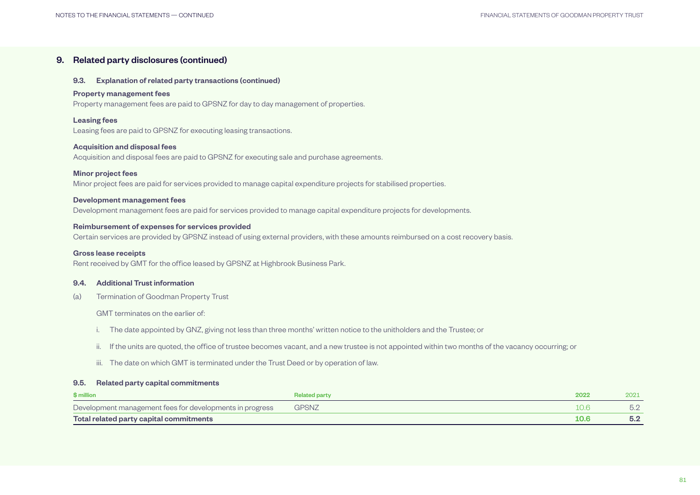## 9. Related party disclosures (continued)

#### 9.3. Explanation of related party transactions (continued)

#### Property management fees

Property management fees are paid to GPSNZ for day to day management of properties.

#### Leasing fees

Leasing fees are paid to GPSNZ for executing leasing transactions.

#### Acquisition and disposal fees

Acquisition and disposal fees are paid to GPSNZ for executing sale and purchase agreements.

#### Minor project fees

Minor project fees are paid for services provided to manage capital expenditure projects for stabilised properties.

#### Development management fees

Development management fees are paid for services provided to manage capital expenditure projects for developments.

#### Reimbursement of expenses for services provided

Certain services are provided by GPSNZ instead of using external providers, with these amounts reimbursed on a cost recovery basis.

#### Gross lease receipts

Rent received by GMT for the office leased by GPSNZ at Highbrook Business Park.

#### 9.4. Additional Trust information

(a) Termination of Goodman Property Trust

GMT terminates on the earlier of:

- i. The date appointed by GNZ, giving not less than three months' written notice to the unitholders and the Trustee; or
- ii. If the units are quoted, the office of trustee becomes vacant, and a new trustee is not appointed within two months of the vacancy occurring; or
- iii. The date on which GMT is terminated under the Trust Deed or by operation of law.

#### 9.5. Related party capital commitments

| \$ million                                               | <b>Related party</b> | 2022 | 2021 |
|----------------------------------------------------------|----------------------|------|------|
| Development management fees for developments in progress | <b>GPSNZ</b>         |      |      |
| Total related party capital commitments                  |                      | 10.6 | 5.2  |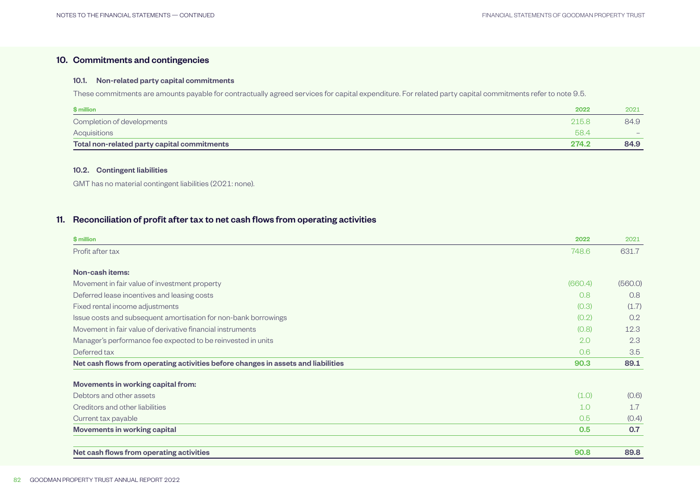## <span id="page-31-0"></span>10. Commitments and contingencies

#### 10.1. Non-related party capital commitments

These commitments are amounts payable for contractually agreed services for capital expenditure. For related party capital commitments refer to note 9.5.

| \$ million                                  | 2022  | 2021 |
|---------------------------------------------|-------|------|
| Completion of developments                  | 215.8 | 84.9 |
| Acquisitions                                | 58.4  |      |
| Total non-related party capital commitments | 274.2 | 84.9 |

## 10.2. Contingent liabilities

GMT has no material contingent liabilities (2021: none).

## 11. Reconciliation of profit after tax to net cash flows from operating activities

| \$ million                                                                        | 2022    | 2021    |
|-----------------------------------------------------------------------------------|---------|---------|
| Profit after tax                                                                  | 748.6   | 631.7   |
| Non-cash items:                                                                   |         |         |
| Movement in fair value of investment property                                     | (660.4) | (560.0) |
| Deferred lease incentives and leasing costs                                       | 0.8     | 0.8     |
| Fixed rental income adjustments                                                   | (0.3)   | (1.7)   |
| Issue costs and subsequent amortisation for non-bank borrowings                   | (0.2)   | 0.2     |
| Movement in fair value of derivative financial instruments                        | (0.8)   | 12.3    |
| Manager's performance fee expected to be reinvested in units                      | 2.0     | 2.3     |
| Deferred tax                                                                      | 0.6     | 3.5     |
| Net cash flows from operating activities before changes in assets and liabilities | 90.3    | 89.1    |
| Movements in working capital from:                                                |         |         |
| Debtors and other assets                                                          | (1.0)   | (0.6)   |
| Creditors and other liabilities                                                   | 1.0     | 1.7     |
| Current tax payable                                                               | 0.5     | (0.4)   |
| <b>Movements in working capital</b>                                               | 0.5     | 0.7     |
| Net cash flows from operating activities                                          | 90.8    | 89.8    |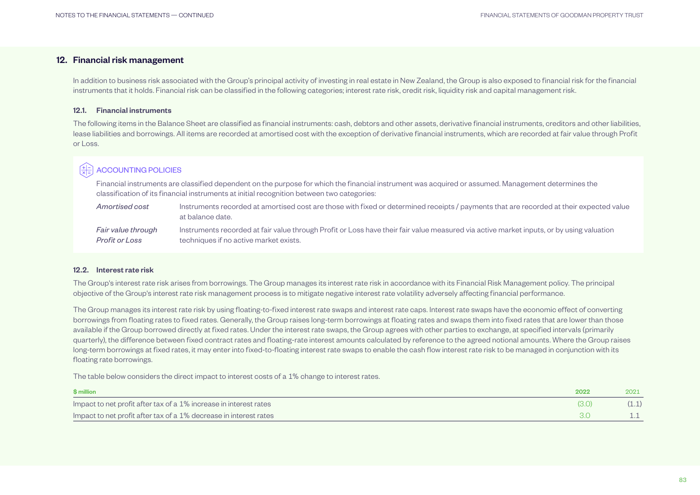## <span id="page-32-0"></span>12. Financial risk management

In addition to business risk associated with the Group's principal activity of investing in real estate in New Zealand, the Group is also exposed to financial risk for the financial instruments that it holds. Financial risk can be classified in the following categories; interest rate risk, credit risk, liquidity risk and capital management risk.

#### 12.1. Financial instruments

The following items in the Balance Sheet are classified as financial instruments: cash, debtors and other assets, derivative financial instruments, creditors and other liabilities, lease liabilities and borrowings. All items are recorded at amortised cost with the exception of derivative financial instruments, which are recorded at fair value through Profit or Loss.

## ACCOUNTING POLICIES

Financial instruments are classified dependent on the purpose for which the financial instrument was acquired or assumed. Management determines the classification of its financial instruments at initial recognition between two categories:

| Amortised cost     | Instruments recorded at amortised cost are those with fixed or determined receipts / payments that are recorded at their expected value<br>at balance date. |
|--------------------|-------------------------------------------------------------------------------------------------------------------------------------------------------------|
| Fair value through | Instruments recorded at fair value through Profit or Loss have their fair value measured via active market inputs, or by using valuation                    |
| Profit or Loss     | techniques if no active market exists.                                                                                                                      |

#### 12.2. Interest rate risk

The Group's interest rate risk arises from borrowings. The Group manages its interest rate risk in accordance with its Financial Risk Management policy. The principal objective of the Group's interest rate risk management process is to mitigate negative interest rate volatility adversely affecting financial performance.

The Group manages its interest rate risk by using floating-to-fixed interest rate swaps and interest rate caps. Interest rate swaps have the economic effect of converting borrowings from floating rates to fixed rates. Generally, the Group raises long-term borrowings at floating rates and swaps them into fixed rates that are lower than those available if the Group borrowed directly at fixed rates. Under the interest rate swaps, the Group agrees with other parties to exchange, at specified intervals (primarily quarterly), the difference between fixed contract rates and floating-rate interest amounts calculated by reference to the agreed notional amounts. Where the Group raises long-term borrowings at fixed rates, it may enter into fixed-to-floating interest rate swaps to enable the cash flow interest rate risk to be managed in conjunction with its floating rate borrowings.

The table below considers the direct impact to interest costs of a 1% change to interest rates.

| \$ million                                                        | 2022 | 2021 |
|-------------------------------------------------------------------|------|------|
| Impact to net profit after tax of a 1% increase in interest rates |      |      |
| Impact to net profit after tax of a 1% decrease in interest rates |      |      |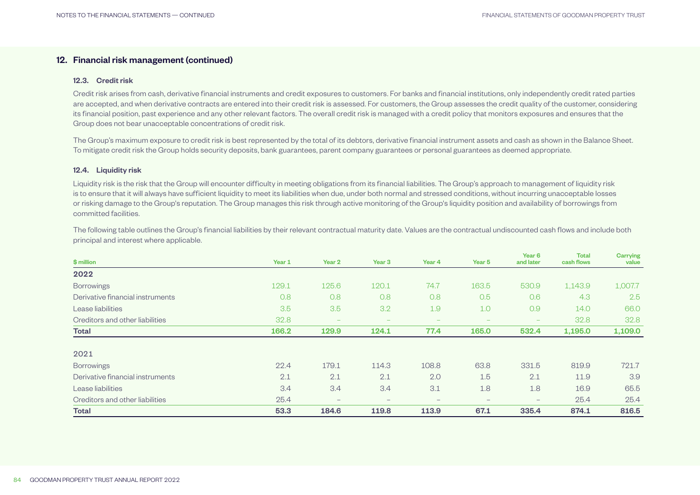## 12. Financial risk management (continued)

#### 12.3. Credit risk

Credit risk arises from cash, derivative financial instruments and credit exposures to customers. For banks and financial institutions, only independently credit rated parties are accepted, and when derivative contracts are entered into their credit risk is assessed. For customers, the Group assesses the credit quality of the customer, considering its financial position, past experience and any other relevant factors. The overall credit risk is managed with a credit policy that monitors exposures and ensures that the Group does not bear unacceptable concentrations of credit risk.

The Group's maximum exposure to credit risk is best represented by the total of its debtors, derivative financial instrument assets and cash as shown in the Balance Sheet. To mitigate credit risk the Group holds security deposits, bank guarantees, parent company guarantees or personal guarantees as deemed appropriate.

#### 12.4. Liquidity risk

Liquidity risk is the risk that the Group will encounter difficulty in meeting obligations from its financial liabilities. The Group's approach to management of liquidity risk is to ensure that it will always have sufficient liquidity to meet its liabilities when due, under both normal and stressed conditions, without incurring unacceptable losses or risking damage to the Group's reputation. The Group manages this risk through active monitoring of the Group's liquidity position and availability of borrowings from committed facilities.

The following table outlines the Group's financial liabilities by their relevant contractual maturity date. Values are the contractual undiscounted cash flows and include both principal and interest where applicable.

| \$ million                       | Year 1 | Year 2                   | Year <sub>3</sub>        | Year 4                   | Year 5                   | Year <sub>6</sub><br>and later | <b>Total</b><br>cash flows | Carrying<br>value |
|----------------------------------|--------|--------------------------|--------------------------|--------------------------|--------------------------|--------------------------------|----------------------------|-------------------|
| 2022                             |        |                          |                          |                          |                          |                                |                            |                   |
| <b>Borrowings</b>                | 129.1  | 125.6                    | 120.1                    | 74.7                     | 163.5                    | 530.9                          | 1,143.9                    | 1,007.7           |
| Derivative financial instruments | 0.8    | 0.8                      | 0.8                      | 0.8                      | 0.5                      | 0.6                            | 4.3                        | $2.5^{\circ}$     |
| Lease liabilities                | 3.5    | 3.5                      | 3.2                      | 1.9                      | 1.0                      | 0.9                            | 14.0                       | 66.0              |
| Creditors and other liabilities  | 32.8   | $\overline{\phantom{a}}$ | $\overline{\phantom{a}}$ | $\overline{\phantom{a}}$ | $\overline{\phantom{a}}$ | $\overline{\phantom{a}}$       | 32.8                       | 32.8              |
| <b>Total</b>                     | 166.2  | 129.9                    | 124.1                    | 77.4                     | 165.0                    | 532.4                          | 1,195.0                    | 1,109.0           |
| 2021                             |        |                          |                          |                          |                          |                                |                            |                   |
| <b>Borrowings</b>                | 22.4   | 179.1                    | 114.3                    | 108.8                    | 63.8                     | 331.5                          | 819.9                      | 721.7             |
| Derivative financial instruments | 2.1    | 2.1                      | 2.1                      | 2.0                      | 1.5                      | 2.1                            | 11.9                       | 3.9               |
| Lease liabilities                | 3.4    | 3.4                      | 3.4                      | 3.1                      | 1.8                      | 1.8                            | 16.9                       | 65.5              |
| Creditors and other liabilities  | 25.4   | $\qquad \qquad -$        | $\overline{\phantom{0}}$ | $\qquad \qquad -$        | $\qquad \qquad -$        | $-$                            | 25.4                       | 25.4              |
| <b>Total</b>                     | 53.3   | 184.6                    | 119.8                    | 113.9                    | 67.1                     | 335.4                          | 874.1                      | 816.5             |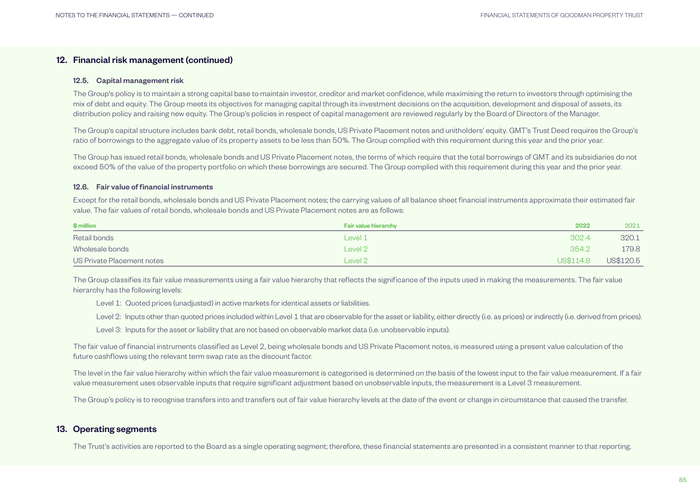## <span id="page-34-0"></span>12. Financial risk management (continued)

#### 12.5. Capital management risk

The Group's policy is to maintain a strong capital base to maintain investor, creditor and market confidence, while maximising the return to investors through optimising the mix of debt and equity. The Group meets its objectives for managing capital through its investment decisions on the acquisition, development and disposal of assets, its distribution policy and raising new equity. The Group's policies in respect of capital management are reviewed regularly by the Board of Directors of the Manager.

The Group's capital structure includes bank debt, retail bonds, wholesale bonds, US Private Placement notes and unitholders' equity. GMT's Trust Deed requires the Group's ratio of borrowings to the aggregate value of its property assets to be less than 50%. The Group complied with this requirement during this year and the prior year.

The Group has issued retail bonds, wholesale bonds and US Private Placement notes, the terms of which require that the total borrowings of GMT and its subsidiaries do not exceed 50% of the value of the property portfolio on which these borrowings are secured. The Group complied with this requirement during this year and the prior year.

#### 12.6. Fair value of financial instruments

Except for the retail bonds, wholesale bonds and US Private Placement notes; the carrying values of all balance sheet financial instruments approximate their estimated fair value. The fair values of retail bonds, wholesale bonds and US Private Placement notes are as follows:

| \$ million                 | Fair value hierarchy | 2022      | 2021      |
|----------------------------|----------------------|-----------|-----------|
| Retail bonds               | Level 1              | 302.4     | 320.1     |
| Wholesale bonds            | Level 2              | 354.2     | 179.8     |
| US Private Placement notes | Level 2              | US\$114.8 | US\$120.5 |

The Group classifies its fair value measurements using a fair value hierarchy that reflects the significance of the inputs used in making the measurements. The fair value hierarchy has the following levels:

Level 1: Quoted prices (unadjusted) in active markets for identical assets or liabilities.

Level 2: Inputs other than quoted prices included within Level 1 that are observable for the asset or liability, either directly (i.e. as prices) or indirectly (i.e. derived from prices).

Level 3: Inputs for the asset or liability that are not based on observable market data (i.e. unobservable inputs).

The fair value of financial instruments classified as Level 2, being wholesale bonds and US Private Placement notes, is measured using a present value calculation of the future cashflows using the relevant term swap rate as the discount factor.

The level in the fair value hierarchy within which the fair value measurement is categorised is determined on the basis of the lowest input to the fair value measurement. If a fair value measurement uses observable inputs that require significant adjustment based on unobservable inputs, the measurement is a Level 3 measurement.

The Group's policy is to recognise transfers into and transfers out of fair value hierarchy levels at the date of the event or change in circumstance that caused the transfer.

## 13. Operating segments

The Trust's activities are reported to the Board as a single operating segment; therefore, these financial statements are presented in a consistent manner to that reporting.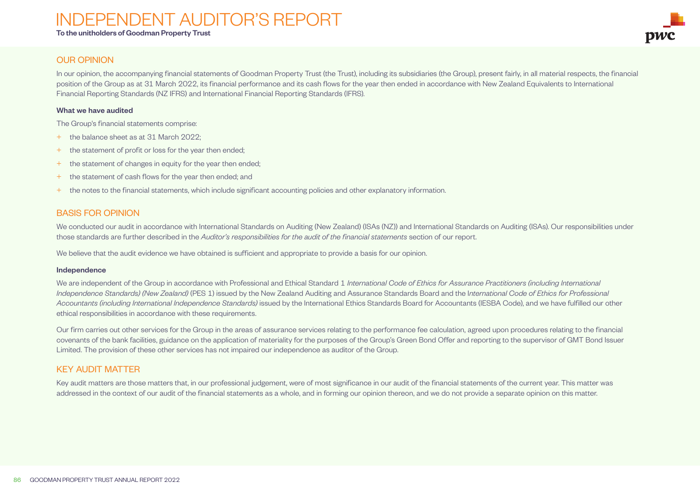# <span id="page-35-0"></span>INDEPENDENT AUDITOR'S REPORT

To the unitholders of Goodman Property Trust

![](_page_35_Picture_3.jpeg)

### In our opinion, the accompanying financial statements of Goodman Property Trust (the Trust), including its subsidiaries (the Group), present fairly, in all material respects, the financial position of the Group as at 31 March 2022, its financial performance and its cash flows for the year then ended in accordance with New Zealand Equivalents to International Financial Reporting Standards (NZ IFRS) and International Financial Reporting Standards (IFRS).

#### What we have audited

OUR OPINION

The Group's financial statements comprise:

- + the balance sheet as at 31 March 2022;
- + the statement of profit or loss for the year then ended;
- + the statement of changes in equity for the year then ended;
- + the statement of cash flows for the year then ended; and
- + the notes to the financial statements, which include significant accounting policies and other explanatory information.

## BASIS FOR OPINION

We conducted our audit in accordance with International Standards on Auditing (New Zealand) (ISAs (NZ)) and International Standards on Auditing (ISAs). Our responsibilities under those standards are further described in the *Auditor's responsibilities for the audit of the financial statements* section of our report.

We believe that the audit evidence we have obtained is sufficient and appropriate to provide a basis for our opinion.

#### Independence

We are independent of the Group in accordance with Professional and Ethical Standard 1 *International Code of Ethics for Assurance Practitioners (including International Independence Standards) (New Zealand)* (PES 1) issued by the New Zealand Auditing and Assurance Standards Board and the I*nternational Code of Ethics for Professional Accountants (including International Independence Standards)* issued by the International Ethics Standards Board for Accountants (IESBA Code), and we have fulfilled our other ethical responsibilities in accordance with these requirements.

Our firm carries out other services for the Group in the areas of assurance services relating to the performance fee calculation, agreed upon procedures relating to the financial covenants of the bank facilities, guidance on the application of materiality for the purposes of the Group's Green Bond Offer and reporting to the supervisor of GMT Bond Issuer Limited. The provision of these other services has not impaired our independence as auditor of the Group.

## KEY AUDIT MATTER

Key audit matters are those matters that, in our professional judgement, were of most significance in our audit of the financial statements of the current year. This matter was addressed in the context of our audit of the financial statements as a whole, and in forming our opinion thereon, and we do not provide a separate opinion on this matter.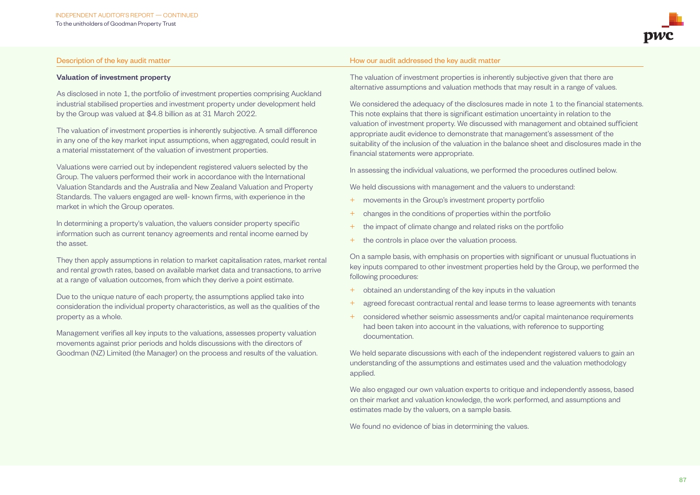#### Valuation of investment property

As disclosed in note 1, the portfolio of investment properties comprising Auckland industrial stabilised properties and investment property under development held by the Group was valued at \$4.8 billion as at 31 March 2022.

The valuation of investment properties is inherently subjective. A small difference in any one of the key market input assumptions, when aggregated, could result in a material misstatement of the valuation of investment properties.

Valuations were carried out by independent registered valuers selected by the Group. The valuers performed their work in accordance with the International Valuation Standards and the Australia and New Zealand Valuation and Property Standards. The valuers engaged are well- known firms, with experience in the market in which the Group operates.

In determining a property's valuation, the valuers consider property specific information such as current tenancy agreements and rental income earned by the asset.

They then apply assumptions in relation to market capitalisation rates, market rental and rental growth rates, based on available market data and transactions, to arrive at a range of valuation outcomes, from which they derive a point estimate.

Due to the unique nature of each property, the assumptions applied take into consideration the individual property characteristics, as well as the qualities of the property as a whole.

Management verifies all key inputs to the valuations, assesses property valuation movements against prior periods and holds discussions with the directors of Goodman (NZ) Limited (the Manager) on the process and results of the valuation.

#### Description of the key audit matter November 1999 and the key audit matter How our audit addressed the key audit matter

The valuation of investment properties is inherently subjective given that there are alternative assumptions and valuation methods that may result in a range of values.

We considered the adequacy of the disclosures made in note 1 to the financial statements. This note explains that there is significant estimation uncertainty in relation to the valuation of investment property. We discussed with management and obtained sufficient appropriate audit evidence to demonstrate that management's assessment of the suitability of the inclusion of the valuation in the balance sheet and disclosures made in the financial statements were appropriate.

In assessing the individual valuations, we performed the procedures outlined below.

We held discussions with management and the valuers to understand:

- movements in the Group's investment property portfolio
- + changes in the conditions of properties within the portfolio
- + the impact of climate change and related risks on the portfolio
- + the controls in place over the valuation process.

On a sample basis, with emphasis on properties with significant or unusual fluctuations in key inputs compared to other investment properties held by the Group, we performed the following procedures:

- + obtained an understanding of the key inputs in the valuation
- agreed forecast contractual rental and lease terms to lease agreements with tenants
- + considered whether seismic assessments and/or capital maintenance requirements had been taken into account in the valuations, with reference to supporting documentation.

We held separate discussions with each of the independent registered valuers to gain an understanding of the assumptions and estimates used and the valuation methodology applied.

We also engaged our own valuation experts to critique and independently assess, based on their market and valuation knowledge, the work performed, and assumptions and estimates made by the valuers, on a sample basis.

We found no evidence of bias in determining the values.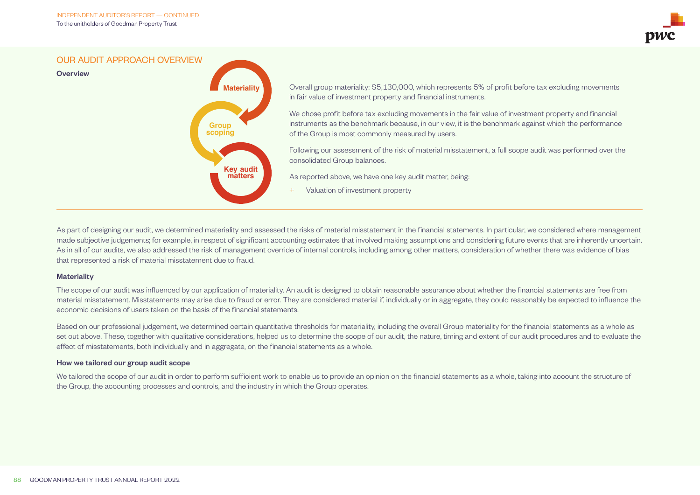![](_page_37_Picture_1.jpeg)

OUR AUDIT APPROACH OVERVIEW

![](_page_37_Figure_3.jpeg)

Overall group materiality: \$5,130,000, which represents 5% of profit before tax excluding movements in fair value of investment property and financial instruments.

We chose profit before tax excluding movements in the fair value of investment property and financial instruments as the benchmark because, in our view, it is the benchmark against which the performance of the Group is most commonly measured by users.

Following our assessment of the risk of material misstatement, a full scope audit was performed over the consolidated Group balances.

As reported above, we have one key audit matter, being:

Valuation of investment property

As part of designing our audit, we determined materiality and assessed the risks of material misstatement in the financial statements. In particular, we considered where management made subjective judgements; for example, in respect of significant accounting estimates that involved making assumptions and considering future events that are inherently uncertain. As in all of our audits, we also addressed the risk of management override of internal controls, including among other matters, consideration of whether there was evidence of bias that represented a risk of material misstatement due to fraud.

#### **Materiality**

**Overview** 

The scope of our audit was influenced by our application of materiality. An audit is designed to obtain reasonable assurance about whether the financial statements are free from material misstatement. Misstatements may arise due to fraud or error. They are considered material if, individually or in aggregate, they could reasonably be expected to influence the economic decisions of users taken on the basis of the financial statements.

Based on our professional judgement, we determined certain quantitative thresholds for materiality, including the overall Group materiality for the financial statements as a whole as set out above. These, together with qualitative considerations, helped us to determine the scope of our audit, the nature, timing and extent of our audit procedures and to evaluate the effect of misstatements, both individually and in aggregate, on the financial statements as a whole.

#### How we tailored our group audit scope

We tailored the scope of our audit in order to perform sufficient work to enable us to provide an opinion on the financial statements as a whole, taking into account the structure of the Group, the accounting processes and controls, and the industry in which the Group operates.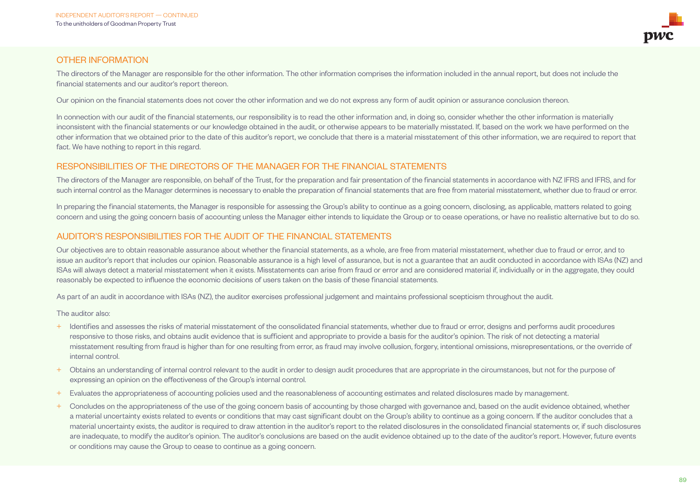![](_page_38_Picture_1.jpeg)

The directors of the Manager are responsible for the other information. The other information comprises the information included in the annual report, but does not include the financial statements and our auditor's report thereon.

Our opinion on the financial statements does not cover the other information and we do not express any form of audit opinion or assurance conclusion thereon.

In connection with our audit of the financial statements, our responsibility is to read the other information and, in doing so, consider whether the other information is materially inconsistent with the financial statements or our knowledge obtained in the audit, or otherwise appears to be materially misstated. If, based on the work we have performed on the other information that we obtained prior to the date of this auditor's report, we conclude that there is a material misstatement of this other information, we are required to report that fact. We have nothing to report in this regard.

## RESPONSIBILITIES OF THE DIRECTORS OF THE MANAGER FOR THE FINANCIAL STATEMENTS

The directors of the Manager are responsible, on behalf of the Trust, for the preparation and fair presentation of the financial statements in accordance with NZ IFRS and IFRS, and for such internal control as the Manager determines is necessary to enable the preparation of financial statements that are free from material misstatement, whether due to fraud or error.

In preparing the financial statements, the Manager is responsible for assessing the Group's ability to continue as a going concern, disclosing, as applicable, matters related to going concern and using the going concern basis of accounting unless the Manager either intends to liquidate the Group or to cease operations, or have no realistic alternative but to do so.

## AUDITOR'S RESPONSIBILITIES FOR THE AUDIT OF THE FINANCIAL STATEMENTS

Our objectives are to obtain reasonable assurance about whether the financial statements, as a whole, are free from material misstatement, whether due to fraud or error, and to issue an auditor's report that includes our opinion. Reasonable assurance is a high level of assurance, but is not a guarantee that an audit conducted in accordance with ISAs (NZ) and ISAs will always detect a material misstatement when it exists. Misstatements can arise from fraud or error and are considered material if, individually or in the aggregate, they could reasonably be expected to influence the economic decisions of users taken on the basis of these financial statements.

As part of an audit in accordance with ISAs (NZ), the auditor exercises professional judgement and maintains professional scepticism throughout the audit.

The auditor also:

- + Identifies and assesses the risks of material misstatement of the consolidated financial statements, whether due to fraud or error, designs and performs audit procedures responsive to those risks, and obtains audit evidence that is sufficient and appropriate to provide a basis for the auditor's opinion. The risk of not detecting a material misstatement resulting from fraud is higher than for one resulting from error, as fraud may involve collusion, forgery, intentional omissions, misrepresentations, or the override of internal control.
- + Obtains an understanding of internal control relevant to the audit in order to design audit procedures that are appropriate in the circumstances, but not for the purpose of expressing an opinion on the effectiveness of the Group's internal control.
- + Evaluates the appropriateness of accounting policies used and the reasonableness of accounting estimates and related disclosures made by management.
- <sup>+</sup> Concludes on the appropriateness of the use of the going concern basis of accounting by those charged with governance and, based on the audit evidence obtained, whether a material uncertainty exists related to events or conditions that may cast significant doubt on the Group's ability to continue as a going concern. If the auditor concludes that a material uncertainty exists, the auditor is required to draw attention in the auditor's report to the related disclosures in the consolidated financial statements or, if such disclosures are inadequate, to modify the auditor's opinion. The auditor's conclusions are based on the audit evidence obtained up to the date of the auditor's report. However, future events or conditions may cause the Group to cease to continue as a going concern.